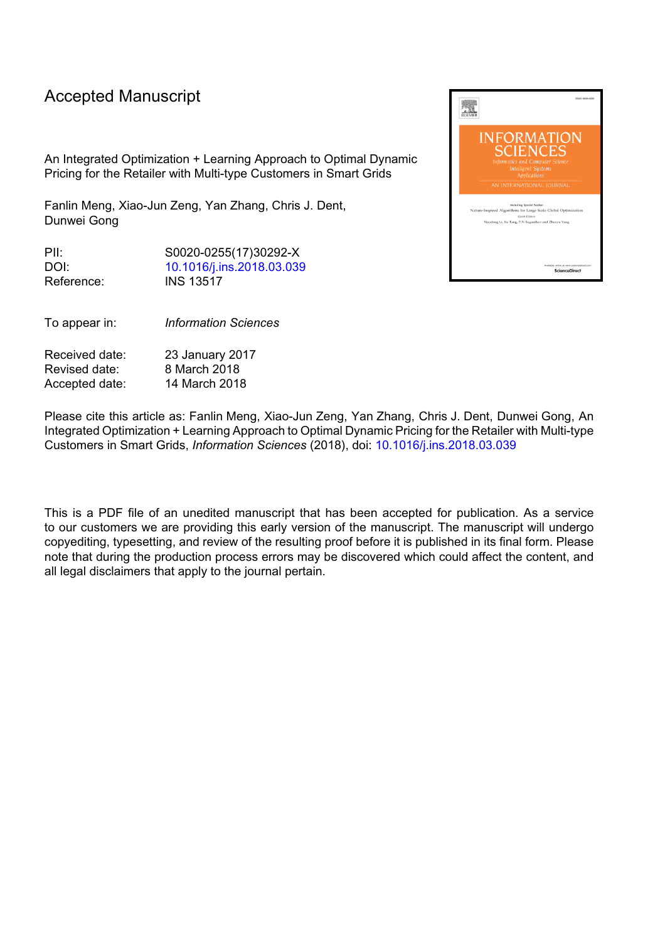# Accepted Manuscript

An Integrated Optimization + Learning Approach to Optimal Dynamic Pricing for the Retailer with Multi-type Customers in Smart Grids

Fanlin Meng, Xiao-Jun Zeng, Yan Zhang, Chris J. Dent, Dunwei Gong

PII: S0020-0255(17)30292-X DOI: [10.1016/j.ins.2018.03.039](https://doi.org/10.1016/j.ins.2018.03.039) Reference: INS 13517

To appear in: *Information Sciences*

Received date: 23 January 2017 Revised date: 8 March 2018 Accepted date: 14 March 2018

Please cite this article as: Fanlin Meng, Xiao-Jun Zeng, Yan Zhang, Chris J. Dent, Dunwei Gong, An Integrated Optimization + Learning Approach to Optimal Dynamic Pricing for the Retailer with Multi-type Customers in Smart Grids, *Information Sciences* (2018), doi: [10.1016/j.ins.2018.03.039](https://doi.org/10.1016/j.ins.2018.03.039)

This is a PDF file of an unedited manuscript that has been accepted for publication. As a service to our customers we are providing this early version of the manuscript. The manuscript will undergo copyediting, typesetting, and review of the resulting proof before it is published in its final form. Please note that during the production process errors may be discovered which could affect the content, and all legal disclaimers that apply to the journal pertain.

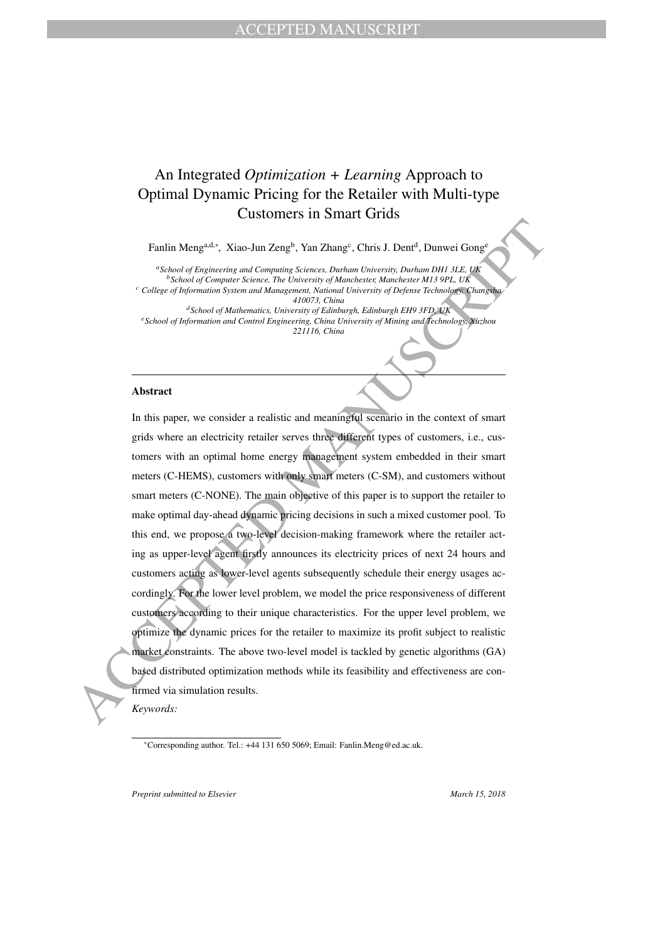# An Integrated *Optimization + Learning* Approach to Optimal Dynamic Pricing for the Retailer with Multi-type Customers in Smart Grids

Fanlin Meng<sup>a,d,∗</sup>, Xiao-Jun Zeng<sup>b</sup>, Yan Zhang<sup>c</sup>, Chris J. Dent<sup>d</sup>, Dunwei Gong<sup>e</sup>

*<sup>a</sup>School of Engineering and Computing Sciences, Durham University, Durham DH1 3LE, UK <sup>b</sup>School of Computer Science, The University of Manchester, Manchester M13 9PL, UK <sup>c</sup> College of Information System and Management, National University of Defense Technology, Changsha 410073, China <sup>d</sup>School of Mathematics, University of Edinburgh, Edinburgh EH9 3FD, UK <sup>e</sup>School of Information and Control Engineering, China University of Mining and Technology, Xuzhou 221116, China*

#### **Abstract**

Findin Mangada, Xiao-Jan Zenge, Yan Zhang', Chris. 1. Danit<sup>4</sup>, Unanvei Group"<br>
"Since of Byginstring and Company Sciences, Derham Materials, Daniel 1380 of Company Sciences (Spinostic Tele Linear Company Since of The Hig In this paper, we consider a realistic and meaningful scenario in the context of smart grids where an electricity retailer serves three different types of customers, i.e., customers with an optimal home energy management system embedded in their smart meters (C-HEMS), customers with only smart meters (C-SM), and customers without smart meters (C-NONE). The main objective of this paper is to support the retailer to make optimal day-ahead dynamic pricing decisions in such a mixed customer pool. To this end, we propose a two-level decision-making framework where the retailer acting as upper-level agent firstly announces its electricity prices of next 24 hours and customers acting as lower-level agents subsequently schedule their energy usages accordingly. For the lower level problem, we model the price responsiveness of different customers according to their unique characteristics. For the upper level problem, we optimize the dynamic prices for the retailer to maximize its profit subject to realistic market constraints. The above two-level model is tackled by genetic algorithms (GA) based distributed optimization methods while its feasibility and effectiveness are confirmed via simulation results.

*Keywords:*

*Preprint submitted to Elsevier* March 15, 2018

<sup>∗</sup>Corresponding author. Tel.: +44 131 650 5069; Email: Fanlin.Meng@ed.ac.uk.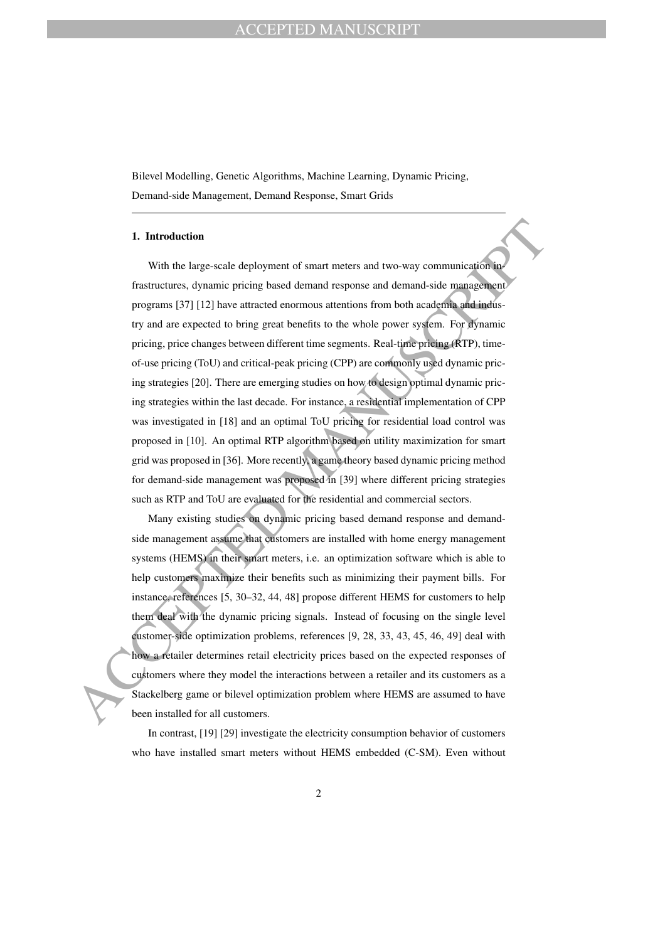Bilevel Modelling, Genetic Algorithms, Machine Learning, Dynamic Pricing, Demand-side Management, Demand Response, Smart Grids

#### **1. Introduction**

**1. Introduction**<br>With the large-scale deployment of smart meters and two-way communication in<br>frastructures, dynamic pricing based demand response and demand-side management<br>programs [37] [12] lave attracted enormous att With the large-scale deployment of smart meters and two-way communication infrastructures, dynamic pricing based demand response and demand-side management programs [37] [12] have attracted enormous attentions from both academia and industry and are expected to bring great benefits to the whole power system. For dynamic pricing, price changes between different time segments. Real-time pricing (RTP), timeof-use pricing (ToU) and critical-peak pricing (CPP) are commonly used dynamic pricing strategies [20]. There are emerging studies on how to design optimal dynamic pricing strategies within the last decade. For instance, a residential implementation of CPP was investigated in [18] and an optimal ToU pricing for residential load control was proposed in [10]. An optimal RTP algorithm based on utility maximization for smart grid was proposed in [36]. More recently, a game theory based dynamic pricing method for demand-side management was proposed in [39] where different pricing strategies such as RTP and ToU are evaluated for the residential and commercial sectors.

Many existing studies on dynamic pricing based demand response and demandside management assume that customers are installed with home energy management systems (HEMS) in their smart meters, i.e. an optimization software which is able to help customers maximize their benefits such as minimizing their payment bills. For instance, references [5, 30–32, 44, 48] propose different HEMS for customers to help them deal with the dynamic pricing signals. Instead of focusing on the single level customer-side optimization problems, references [9, 28, 33, 43, 45, 46, 49] deal with how a retailer determines retail electricity prices based on the expected responses of customers where they model the interactions between a retailer and its customers as a Stackelberg game or bilevel optimization problem where HEMS are assumed to have been installed for all customers.

In contrast, [19] [29] investigate the electricity consumption behavior of customers who have installed smart meters without HEMS embedded (C-SM). Even without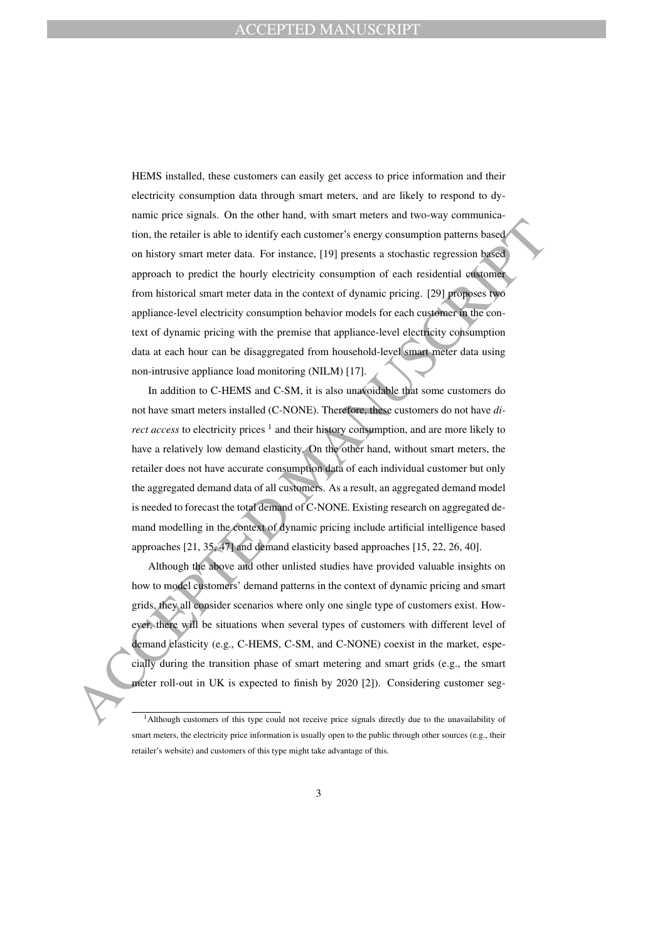HEMS installed, these customers can easily get access to price information and their electricity consumption data through smart meters, and are likely to respond to dynamic price signals. On the other hand, with smart meters and two-way communication, the retailer is able to identify each customer's energy consumption patterns based on history smart meter data. For instance, [19] presents a stochastic regression based approach to predict the hourly electricity consumption of each residential customer from historical smart meter data in the context of dynamic pricing. [29] proposes two appliance-level electricity consumption behavior models for each customer in the context of dynamic pricing with the premise that appliance-level electricity consumption data at each hour can be disaggregated from household-level smart meter data using non-intrusive appliance load monitoring (NILM) [17].

tion, the retailer is able to identify each customer's energy consumption patterns based<br>on history smart meter data. For instance, [19] presents a stochastic regression based<br>approach to predict the hourty electricity co In addition to C-HEMS and C-SM, it is also unavoidable that some customers do not have smart meters installed (C-NONE). Therefore, these customers do not have *direct access* to electricity prices<sup>1</sup> and their history consumption, and are more likely to have a relatively low demand elasticity. On the other hand, without smart meters, the retailer does not have accurate consumption data of each individual customer but only the aggregated demand data of all customers. As a result, an aggregated demand model is needed to forecast the total demand of C-NONE. Existing research on aggregated demand modelling in the context of dynamic pricing include artificial intelligence based approaches [21, 35, 47] and demand elasticity based approaches [15, 22, 26, 40].

Although the above and other unlisted studies have provided valuable insights on how to model customers' demand patterns in the context of dynamic pricing and smart grids, they all consider scenarios where only one single type of customers exist. However, there will be situations when several types of customers with different level of demand elasticity (e.g., C-HEMS, C-SM, and C-NONE) coexist in the market, especially during the transition phase of smart metering and smart grids (e.g., the smart meter roll-out in UK is expected to finish by 2020 [2]). Considering customer seg-

<sup>&</sup>lt;sup>1</sup>Although customers of this type could not receive price signals directly due to the unavailability of smart meters, the electricity price information is usually open to the public through other sources (e.g., their retailer's website) and customers of this type might take advantage of this.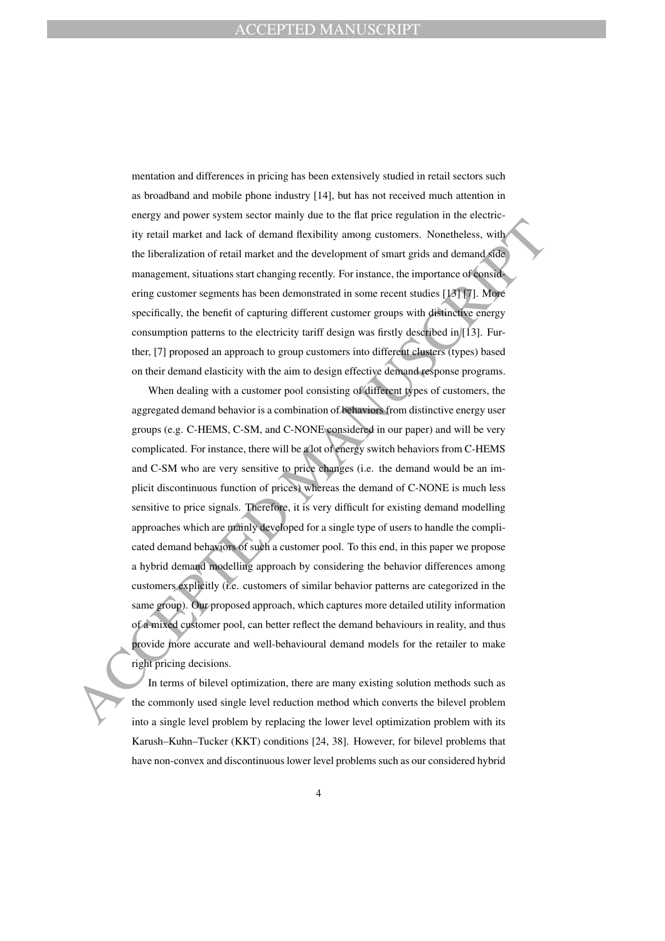mentation and differences in pricing has been extensively studied in retail sectors such as broadband and mobile phone industry [14], but has not received much attention in energy and power system sector mainly due to the flat price regulation in the electricity retail market and lack of demand flexibility among customers. Nonetheless, with the liberalization of retail market and the development of smart grids and demand side management, situations start changing recently. For instance, the importance of considering customer segments has been demonstrated in some recent studies [13] [7]. More specifically, the benefit of capturing different customer groups with distinctive energy consumption patterns to the electricity tariff design was firstly described in [13]. Further, [7] proposed an approach to group customers into different clusters (types) based on their demand elasticity with the aim to design effective demand response programs.

ity retail market and lack of demand describtivy among customers. Nonetheless, with<br>the liberalization of retail market and the development of smart grids and demand solid<br>management, sinuations start than princ grounds. F When dealing with a customer pool consisting of different types of customers, the aggregated demand behavior is a combination of behaviors from distinctive energy user groups (e.g. C-HEMS, C-SM, and C-NONE considered in our paper) and will be very complicated. For instance, there will be a lot of energy switch behaviors from C-HEMS and C-SM who are very sensitive to price changes (i.e. the demand would be an implicit discontinuous function of prices) whereas the demand of C-NONE is much less sensitive to price signals. Therefore, it is very difficult for existing demand modelling approaches which are mainly developed for a single type of users to handle the complicated demand behaviors of such a customer pool. To this end, in this paper we propose a hybrid demand modelling approach by considering the behavior differences among customers explicitly (i.e. customers of similar behavior patterns are categorized in the same group). Our proposed approach, which captures more detailed utility information of a mixed customer pool, can better reflect the demand behaviours in reality, and thus provide more accurate and well-behavioural demand models for the retailer to make right pricing decisions.

In terms of bilevel optimization, there are many existing solution methods such as the commonly used single level reduction method which converts the bilevel problem into a single level problem by replacing the lower level optimization problem with its Karush–Kuhn–Tucker (KKT) conditions [24, 38]. However, for bilevel problems that have non-convex and discontinuous lower level problems such as our considered hybrid

4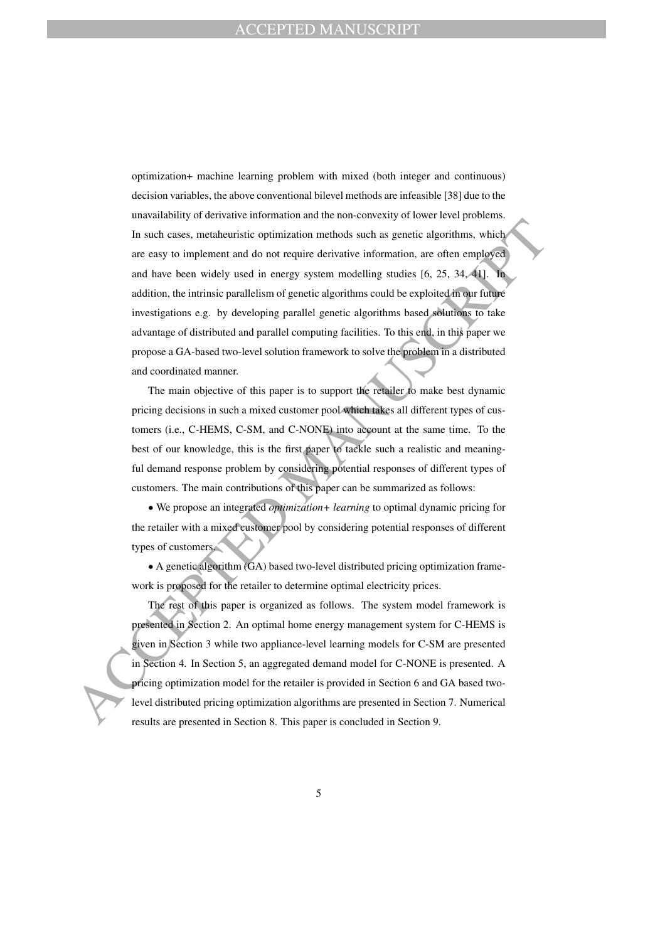In such cases, metaheuristic optimization methods such as genetic algorithms, which<br>are easy to implement and do not require derivative information, are often employed<br>and have been widely used in energy system modelling optimization+ machine learning problem with mixed (both integer and continuous) decision variables, the above conventional bilevel methods are infeasible [38] due to the unavailability of derivative information and the non-convexity of lower level problems. In such cases, metaheuristic optimization methods such as genetic algorithms, which are easy to implement and do not require derivative information, are often employed and have been widely used in energy system modelling studies [6, 25, 34, 41]. In addition, the intrinsic parallelism of genetic algorithms could be exploited in our future investigations e.g. by developing parallel genetic algorithms based solutions to take advantage of distributed and parallel computing facilities. To this end, in this paper we propose a GA-based two-level solution framework to solve the problem in a distributed and coordinated manner.

The main objective of this paper is to support the retailer to make best dynamic pricing decisions in such a mixed customer pool which takes all different types of customers (i.e., C-HEMS, C-SM, and C-NONE) into account at the same time. To the best of our knowledge, this is the first paper to tackle such a realistic and meaningful demand response problem by considering potential responses of different types of customers. The main contributions of this paper can be summarized as follows:

• We propose an integrated *optimization+ learning* to optimal dynamic pricing for the retailer with a mixed customer pool by considering potential responses of different types of customers.

• A genetic algorithm (GA) based two-level distributed pricing optimization framework is proposed for the retailer to determine optimal electricity prices.

The rest of this paper is organized as follows. The system model framework is presented in Section 2. An optimal home energy management system for C-HEMS is given in Section 3 while two appliance-level learning models for C-SM are presented in Section 4. In Section 5, an aggregated demand model for C-NONE is presented. A pricing optimization model for the retailer is provided in Section 6 and GA based twolevel distributed pricing optimization algorithms are presented in Section 7. Numerical results are presented in Section 8. This paper is concluded in Section 9.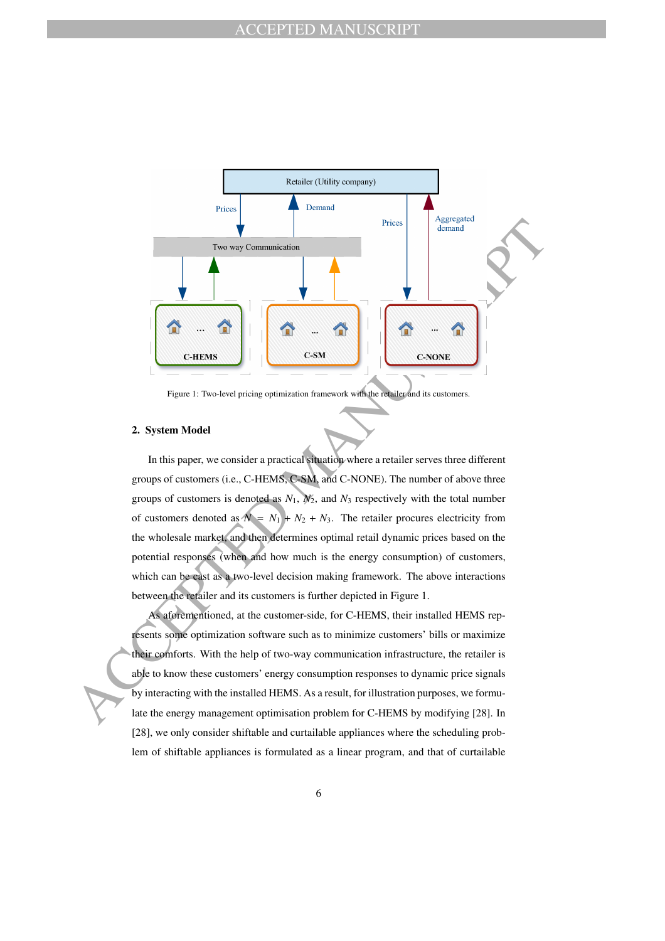

Figure 1: Two-level pricing optimization framework with the retailer and its customers.

#### **2. System Model**

In this paper, we consider a practical situation where a retailer serves three different groups of customers (i.e., C-HEMS, C-SM, and C-NONE). The number of above three groups of customers is denoted as  $N_1$ ,  $N_2$ , and  $N_3$  respectively with the total number of customers denoted as  $N = N_1 + N_2 + N_3$ . The retailer procures electricity from the wholesale market, and then determines optimal retail dynamic prices based on the potential responses (when and how much is the energy consumption) of customers, which can be cast as a two-level decision making framework. The above interactions between the retailer and its customers is further depicted in Figure 1.

As aforementioned, at the customer-side, for C-HEMS, their installed HEMS represents some optimization software such as to minimize customers' bills or maximize their comforts. With the help of two-way communication infrastructure, the retailer is able to know these customers' energy consumption responses to dynamic price signals by interacting with the installed HEMS. As a result, for illustration purposes, we formulate the energy management optimisation problem for C-HEMS by modifying [28]. In [28], we only consider shiftable and curtailable appliances where the scheduling problem of shiftable appliances is formulated as a linear program, and that of curtailable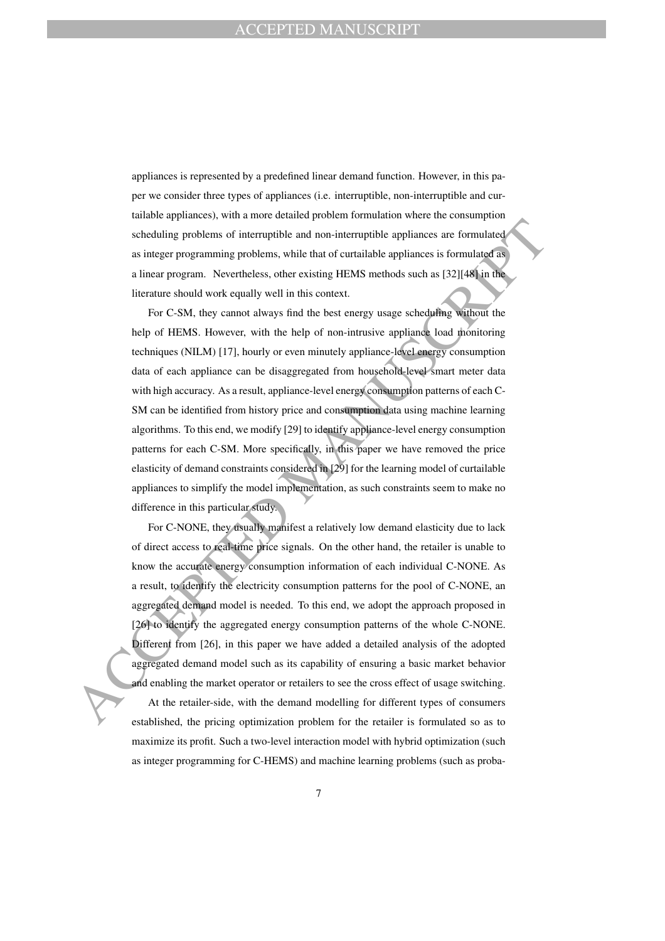appliances is represented by a predefined linear demand function. However, in this paper we consider three types of appliances (i.e. interruptible, non-interruptible and curtailable appliances), with a more detailed problem formulation where the consumption scheduling problems of interruptible and non-interruptible appliances are formulated as integer programming problems, while that of curtailable appliances is formulated as a linear program. Nevertheless, other existing HEMS methods such as [32][48] in the literature should work equally well in this context.

Scheduling problems of interruptible and non-interruptible appliances are formulated<br>as integer programming problems, while that of curtailable appliances is formulated<br>as integer programming problems, while that of curtai For C-SM, they cannot always find the best energy usage scheduling without the help of HEMS. However, with the help of non-intrusive appliance load monitoring techniques (NILM) [17], hourly or even minutely appliance-level energy consumption data of each appliance can be disaggregated from household-level smart meter data with high accuracy. As a result, appliance-level energy consumption patterns of each C-SM can be identified from history price and consumption data using machine learning algorithms. To this end, we modify [29] to identify appliance-level energy consumption patterns for each C-SM. More specifically, in this paper we have removed the price elasticity of demand constraints considered in [29] for the learning model of curtailable appliances to simplify the model implementation, as such constraints seem to make no difference in this particular study.

For C-NONE, they usually manifest a relatively low demand elasticity due to lack of direct access to real-time price signals. On the other hand, the retailer is unable to know the accurate energy consumption information of each individual C-NONE. As a result, to identify the electricity consumption patterns for the pool of C-NONE, an aggregated demand model is needed. To this end, we adopt the approach proposed in [26] to identify the aggregated energy consumption patterns of the whole C-NONE. Different from [26], in this paper we have added a detailed analysis of the adopted aggregated demand model such as its capability of ensuring a basic market behavior and enabling the market operator or retailers to see the cross effect of usage switching. At the retailer-side, with the demand modelling for different types of consumers established, the pricing optimization problem for the retailer is formulated so as to maximize its profit. Such a two-level interaction model with hybrid optimization (such as integer programming for C-HEMS) and machine learning problems (such as proba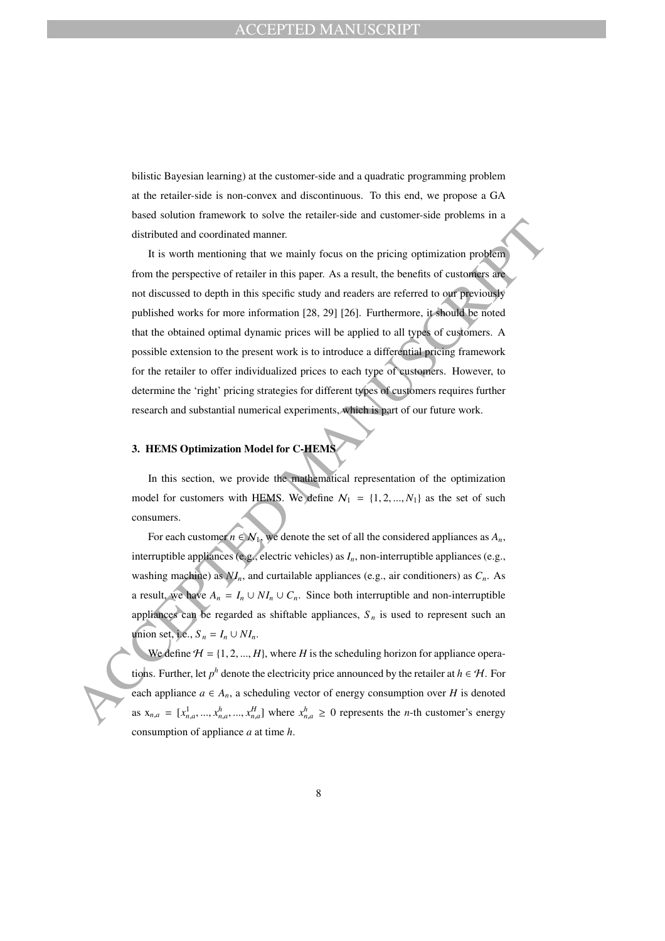bilistic Bayesian learning) at the customer-side and a quadratic programming problem at the retailer-side is non-convex and discontinuous. To this end, we propose a GA based solution framework to solve the retailer-side and customer-side problems in a distributed and coordinated manner.

It is worth mentioning that we mainly focus on the pricing optimization problem<br>
It is worth mentioning that we mainly focus on the pricing optimization problem<br>
from the prespective of remistric in this paper. As a resul It is worth mentioning that we mainly focus on the pricing optimization problem from the perspective of retailer in this paper. As a result, the benefits of customers are not discussed to depth in this specific study and readers are referred to our previously published works for more information [28, 29] [26]. Furthermore, it should be noted that the obtained optimal dynamic prices will be applied to all types of customers. A possible extension to the present work is to introduce a differential pricing framework for the retailer to offer individualized prices to each type of customers. However, to determine the 'right' pricing strategies for different types of customers requires further research and substantial numerical experiments, which is part of our future work.

# **3. HEMS Optimization Model for C-HEMS**

In this section, we provide the mathematical representation of the optimization model for customers with HEMS. We define  $N_1 = \{1, 2, ..., N_1\}$  as the set of such consumers.

For each customer  $n \in \mathcal{N}_1$ , we denote the set of all the considered appliances as  $A_n$ , interruptible appliances (e.g., electric vehicles) as *In*, non-interruptible appliances (e.g., washing machine) as  $NI_n$ , and curtailable appliances (e.g., air conditioners) as  $C_n$ . As a result, we have  $A_n = I_n \cup NI_n \cup C_n$ . Since both interruptible and non-interruptible appliances can be regarded as shiftable appliances,  $S_n$  is used to represent such an union set, i.e.,  $S_n = I_n \cup NI_n$ .

We define  $H = \{1, 2, ..., H\}$ , where *H* is the scheduling horizon for appliance operations. Further, let  $p^h$  denote the electricity price announced by the retailer at  $h \in \mathcal{H}$ . For each appliance  $a \in A_n$ , a scheduling vector of energy consumption over *H* is denoted as  $x_{n,a} = [x_{n,a}^1, ..., x_{n,a}^h, ..., x_{n,a}^H]$  where  $x_{n,a}^h \ge 0$  represents the *n*-th customer's energy consumption of appliance *a* at time *h*.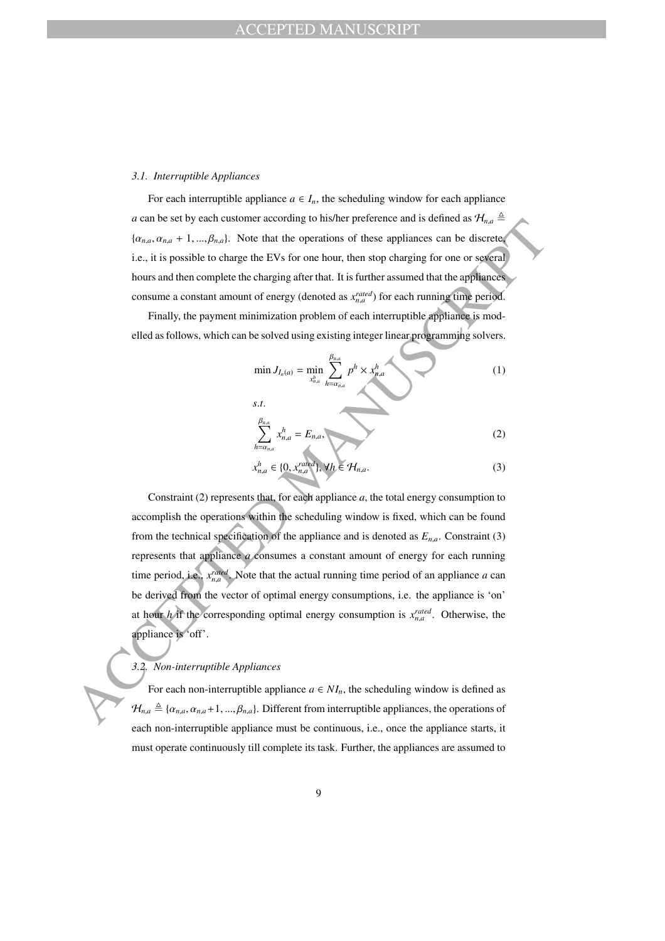#### *3.1. Interruptible Appliances*

For each interruptible appliance  $a \in I_n$ , the scheduling window for each appliance *a* can be set by each customer according to his/her preference and is defined as  $\mathcal{H}_{n,a} \triangleq$  $\{\alpha_{n,a}, \alpha_{n,a} + 1, ..., \beta_{n,a}\}.$  Note that the operations of these appliances can be discrete, i.e., it is possible to charge the EVs for one hour, then stop charging for one or several hours and then complete the charging after that. It is further assumed that the appliances consume a constant amount of energy (denoted as  $x_{n,a}^{rated}$ ) for each running time period.

Finally, the payment minimization problem of each interruptible appliance is modelled as follows, which can be solved using existing integer linear programming solvers.

$$
\min J_{I_n(a)} = \min_{x_{n,a}^h} \sum_{h=\alpha_{n,a}}^{\beta_{n,a}} p^h \times x_{n,a}^h
$$
 (1)

$$
\sum_{h=\alpha_{n,a}}^{\beta_{n,a}} x_{n,a}^h = E_{n,a},
$$
\n(2)

$$
x_{n,a}^h \in \{0, x_{n,a}^{rated}\}, \forall h \in \mathcal{H}_{n,a}.\tag{3}
$$

*C* ( $h_{x_0} = \sum_{n=1}^{\infty} h_{x_0} = E_{n,x}$ <br>
( $h_{x_0} = \sum_{n=1}^{\infty} h_{x_0} = E_{n,x}$ <br>
( $h_{x_0} = \sum_{n=1}^{\infty} h_{x_0} = \sum_{n=1}^{\infty} h_{x_0} = \sum_{n=1}^{\infty} h_{x_0} = \sum_{n=1}^{\infty} h_{x_0} = \sum_{n=1}^{\infty} h_{x_0} = \sum_{n=1}^{\infty} h_{x_0} = \sum_{n=1}^{\infty} h_{x_0} = \sum_{$ Constraint (2) represents that, for each appliance *a*, the total energy consumption to accomplish the operations within the scheduling window is fixed, which can be found from the technical specification of the appliance and is denoted as  $E_{n,a}$ . Constraint (3) represents that appliance *a* consumes a constant amount of energy for each running time period, i.e.,  $x_{n,a}^{rated}$ . Note that the actual running time period of an appliance *a* can be derived from the vector of optimal energy consumptions, i.e. the appliance is 'on' at hour *h* if the corresponding optimal energy consumption is  $x_{n,a}^{rated}$ . Otherwise, the appliance is 'off'.

# *3.2. Non-interruptible Appliances*

For each non-interruptible appliance  $a \in NI_n$ , the scheduling window is defined as  $\mathcal{H}_{n,a} \triangleq {\alpha_{n,a}, \alpha_{n,a}+1, ..., \beta_{n,a}}$ . Different from interruptible appliances, the operations of each non-interruptible appliance must be continuous, i.e., once the appliance starts, it must operate continuously till complete its task. Further, the appliances are assumed to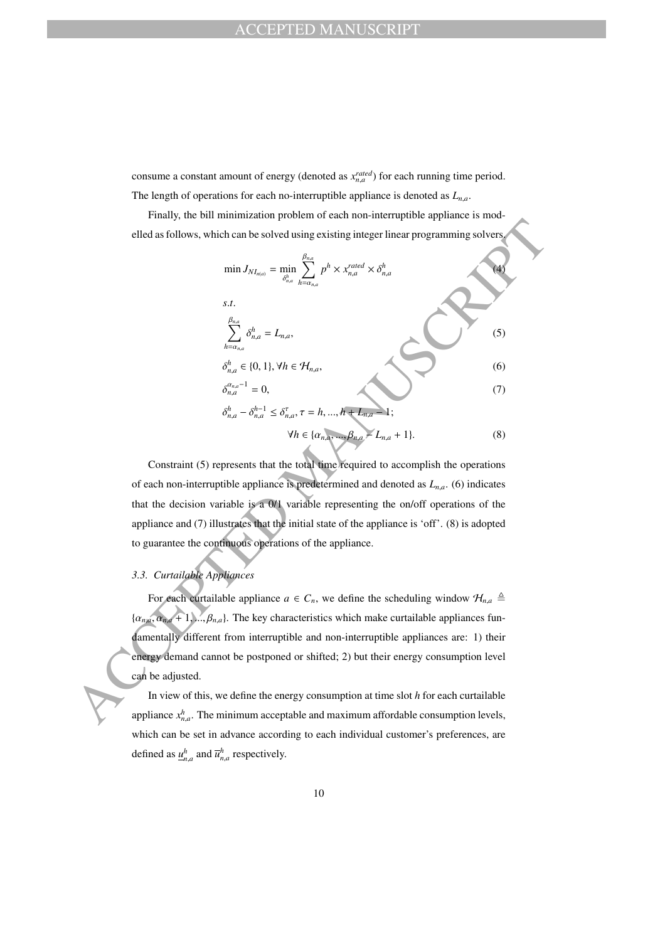consume a constant amount of energy (denoted as  $x_{n,a}^{rated}$ ) for each running time period. The length of operations for each no-interruptible appliance is denoted as  $L_{n,a}$ .

Finally, the bill minimization problem of each non-interruptible appliance is modelled as follows, which can be solved using existing integer linear programming solvers.

ACCEPTED MANUSCRIPT min *JN In*(*a*) = min δ *h n*,*a* X β*n*,*<sup>a</sup> h*=α*n*,*<sup>a</sup> p <sup>h</sup>* <sup>×</sup> *<sup>x</sup> rated <sup>n</sup>*,*<sup>a</sup>* × δ *h n*,*a* (4) *s*.*t*. X β*n*,*<sup>a</sup> h*=α*n*,*<sup>a</sup>* δ *h <sup>n</sup>*,*<sup>a</sup>* = *L<sup>n</sup>*,*a*, (5) δ *h <sup>n</sup>*,*<sup>a</sup>* ∈ {0, 1}, ∀*h* ∈ H*<sup>n</sup>*,*a*, (6) δ α*n*,*a*−1 *<sup>n</sup>*,*<sup>a</sup>* = 0, (7) δ *h <sup>n</sup>*,*<sup>a</sup>* − δ *h*−1 *<sup>n</sup>*,*<sup>a</sup>* ≤ δ τ *n*,*a* , τ = *h*, ..., *h* + *L<sup>n</sup>*,*<sup>a</sup>* − 1; ∀*h* ∈ {α*<sup>n</sup>*,*<sup>a</sup>*, ..., β*<sup>n</sup>*,*<sup>a</sup>* − *L<sup>n</sup>*,*<sup>a</sup>* + 1}. (8)

Constraint (5) represents that the total time required to accomplish the operations of each non-interruptible appliance is predetermined and denoted as *L<sup>n</sup>*,*<sup>a</sup>*. (6) indicates that the decision variable is a 0/1 variable representing the on/off operations of the appliance and (7) illustrates that the initial state of the appliance is 'off'. (8) is adopted to guarantee the continuous operations of the appliance.

# *3.3. Curtailable Appliances*

For each curtailable appliance  $a \in C_n$ , we define the scheduling window  $\mathcal{H}_{n,a} \triangleq$  $\{\alpha_{n,a}, \alpha_{n,a}+1, ..., \beta_{n,a}\}.$  The key characteristics which make curtailable appliances fundamentally different from interruptible and non-interruptible appliances are: 1) their energy demand cannot be postponed or shifted; 2) but their energy consumption level can be adjusted.

In view of this, we define the energy consumption at time slot *h* for each curtailable appliance  $x_{n,a}^h$ . The minimum acceptable and maximum affordable consumption levels, which can be set in advance according to each individual customer's preferences, are defined as  $\underline{u}_{n,a}^h$  and  $\overline{u}_{n,a}^h$  respectively.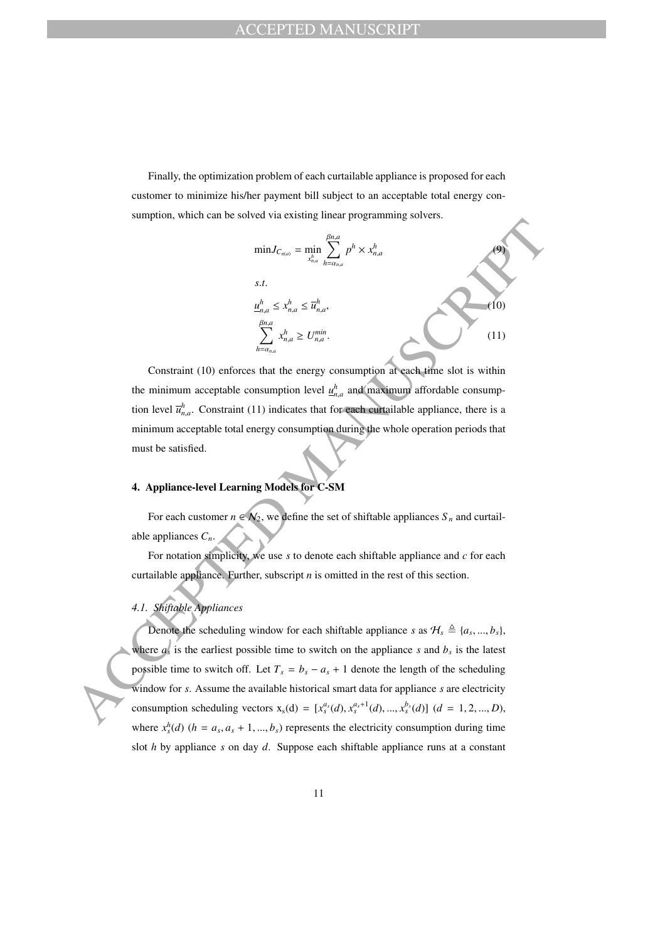Finally, the optimization problem of each curtailable appliance is proposed for each customer to minimize his/her payment bill subject to an acceptable total energy consumption, which can be solved via existing linear programming solvers.



Constraint (10) enforces that the energy consumption at each time slot is within the minimum acceptable consumption level  $\underline{u}_{n,a}^h$  and maximum affordable consumption level  $\overline{u}_{n,a}^h$ . Constraint (11) indicates that for each curtailable appliance, there is a minimum acceptable total energy consumption during the whole operation periods that must be satisfied.

# **4. Appliance-level Learning Models for C-SM**

For each customer  $n \in \mathcal{N}_2$ , we define the set of shiftable appliances  $S_n$  and curtailable appliances *Cn*.

For notation simplicity, we use *s* to denote each shiftable appliance and *c* for each curtailable appliance. Further, subscript *n* is omitted in the rest of this section.

## *4.1. Shiftable Appliances*

Denote the scheduling window for each shiftable appliance *s* as  $\mathcal{H}_s \triangleq \{a_s, ..., b_s\}$ , where  $a_s$  is the earliest possible time to switch on the appliance *s* and  $b_s$  is the latest possible time to switch off. Let  $T_s = b_s - a_s + 1$  denote the length of the scheduling window for *s*. Assume the available historical smart data for appliance *s* are electricity consumption scheduling vectors  $x_s(d) = [x_s^{a_s}(d), x_s^{a_s+1}(d), ..., x_s^{b_s}(d)]$  (*d* = 1, 2, ..., *D*), where  $x_s^h$ (*d*) (*h* = *a<sub>s</sub>*, *a<sub>s</sub>* + 1, ..., *b<sub>s</sub>*) represents the electricity consumption during time slot *h* by appliance *s* on day *d*. Suppose each shiftable appliance runs at a constant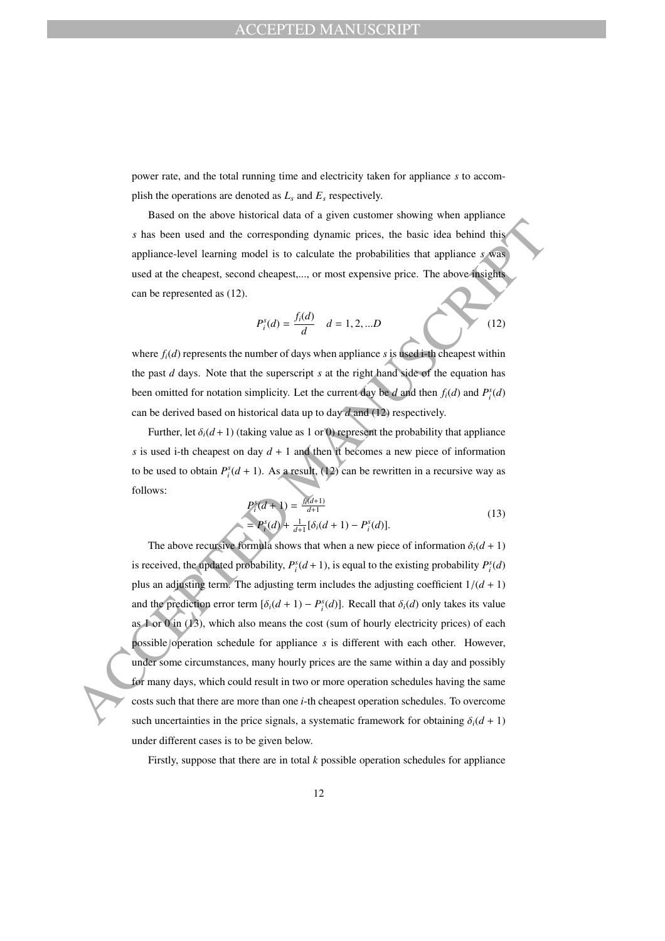power rate, and the total running time and electricity taken for appliance *s* to accomplish the operations are denoted as  $L<sub>s</sub>$  and  $E<sub>s</sub>$  respectively.

Based on the above historical data of a given customer showing when appliance *s* has been used and the corresponding dynamic prices, the basic idea behind this appliance-level learning model is to calculate the probabilities that appliance *s* was used at the cheapest, second cheapest,..., or most expensive price. The above insights can be represented as (12).

$$
P_i^s(d) = \frac{f_i(d)}{d} \quad d = 1, 2, ...D \tag{12}
$$

where *fi*(*d*) represents the number of days when appliance *s* is used i-th cheapest within the past *d* days. Note that the superscript *s* at the right hand side of the equation has been omitted for notation simplicity. Let the current day be *d* and then  $f_i(d)$  and  $P_i^s(d)$ can be derived based on historical data up to day *d* and (12) respectively.

Further, let  $\delta_i(d+1)$  (taking value as 1 or 0) represent the probability that appliance *s* is used i-th cheapest on day  $d + 1$  and then it becomes a new piece of information to be used to obtain  $P_i^s(d + 1)$ . As a result, (12) can be rewritten in a recursive way as follows:

$$
P_i^s(d+1) = \frac{f_i(d+1)}{d+1}
$$
  
=  $P_i^s(d) + \frac{1}{d+1}[\delta_i(d+1) - P_i^s(d)].$  (13)

s has been used and the corresponding dynamic prices, the basic idea behind this appliance level learning model is to calculate the probabilities that appliance s was used at the changest, second cheapes, we are copensive The above recursive formula shows that when a new piece of information  $\delta_i(d+1)$ is received, the updated probability,  $P_i^s(d+1)$ , is equal to the existing probability  $P_i^s(d)$ plus an adjusting term. The adjusting term includes the adjusting coefficient  $1/(d + 1)$ and the prediction error term  $[\delta_i(d+1) - P_i^s(d)]$ . Recall that  $\delta_i(d)$  only takes its value as 1 or 0 in (13), which also means the cost (sum of hourly electricity prices) of each possible operation schedule for appliance *s* is different with each other. However, under some circumstances, many hourly prices are the same within a day and possibly for many days, which could result in two or more operation schedules having the same costs such that there are more than one *i*-th cheapest operation schedules. To overcome such uncertainties in the price signals, a systematic framework for obtaining  $\delta_i(d+1)$ under different cases is to be given below.

Firstly, suppose that there are in total *k* possible operation schedules for appliance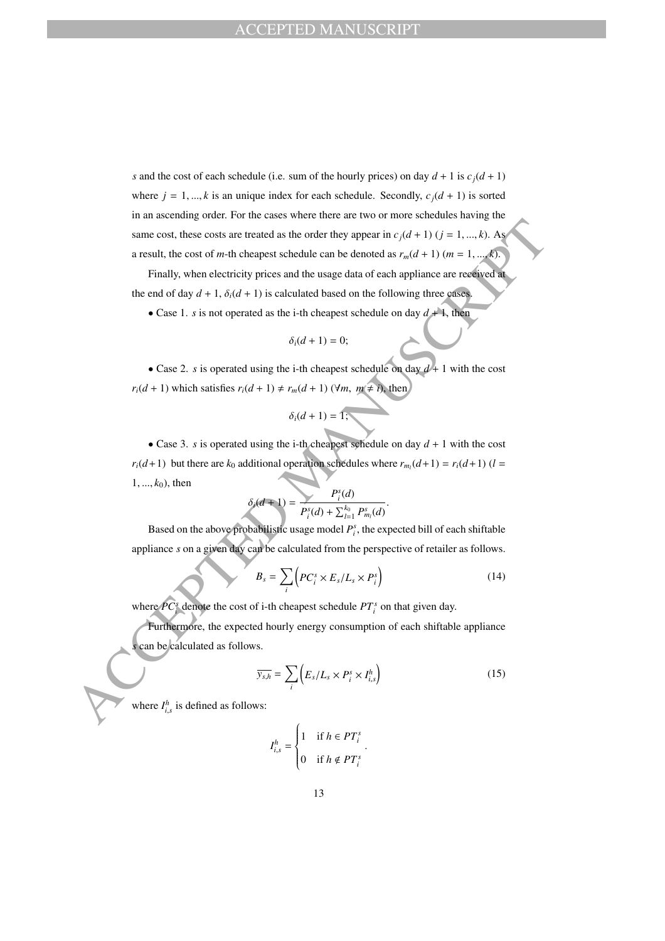*s* and the cost of each schedule (i.e. sum of the hourly prices) on day  $d + 1$  is  $c_j(d + 1)$ where  $j = 1, ..., k$  is an unique index for each schedule. Secondly,  $c_j(d + 1)$  is sorted in an ascending order. For the cases where there are two or more schedules having the same cost, these costs are treated as the order they appear in  $c_j(d + 1)$  ( $j = 1, ..., k$ ). As a result, the cost of *m*-th cheapest schedule can be denoted as  $r_m(d + 1)$  ( $m = 1, ..., k$ ).

Finally, when electricity prices and the usage data of each appliance are received at the end of day  $d + 1$ ,  $\delta_i(d + 1)$  is calculated based on the following three cases

• Case 1. *s* is not operated as the i-th cheapest schedule on day  $d + 1$ , then

$$
\delta_i(d+1)=0;
$$

• Case 2. *s* is operated using the i-th cheapest schedule on day  $d+1$  with the cost  $r_i(d+1)$  which satisfies  $r_i(d+1) \neq r_m(d+1)$  ( $\forall m, m \neq i$ ), then

$$
\delta_i(d+1)=1;
$$

same cost, these costs are treated as the order they appear in  $c/d + 1$ )  $(j = 1, ..., k)$ . And<br>a result, the cost of  $m$ -th cheapest schedule can be denoted as  $r_m(d + 1)$  ( $m = 1, ..., k$ ).<br>
Finally, when clearly it yies and the follow • Case 3. *s* is operated using the i-th cheapest schedule on day  $d + 1$  with the cost *r*<sub>*i*</sub>(*d*+1) but there are *k*<sub>0</sub> additional operation schedules where  $r_{m_l}(d+1) = r_i(d+1)$  (*l* =  $1, ..., k_0$ ), then

$$
\delta_i(d+1) = \frac{P_i^s(d)}{P_i^s(d) + \sum_{l=1}^{k_0} P_{m_l}^s(d)}
$$

Based on the above probabilistic usage model  $P_i^s$ , the expected bill of each shiftable appliance *s* on a given day can be calculated from the perspective of retailer as follows.

$$
B_s = \sum_i \left( PC_i^s \times E_s / L_s \times P_i^s \right) \tag{14}
$$

.

where  $PC_i^s$  denote the cost of i-th cheapest schedule  $PT_i^s$  on that given day.

Furthermore, the expected hourly energy consumption of each shiftable appliance *s* can be calculated as follows.

$$
\overline{y_{s,h}} = \sum_{i} \left( E_s / L_s \times P_i^s \times I_{i,s}^h \right) \tag{15}
$$

where  $I_{i,s}^h$  is defined as follows:

$$
I_{i,s}^h = \begin{cases} 1 & \text{if } h \in PT_i^s \\ 0 & \text{if } h \notin PT_i^s \end{cases}.
$$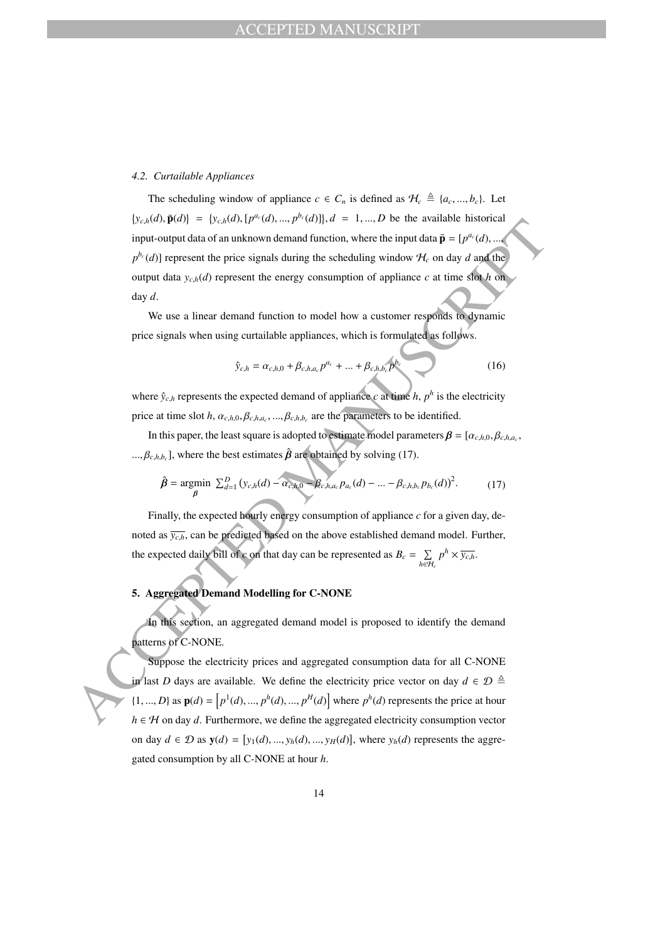#### *4.2. Curtailable Appliances*

Broad). Figure 1 Excelse, the least square is added to mean the three twantines and the properties of the properties of the strength and the control of a properties of the strength of a properties of the strength of a pro The scheduling window of appliance  $c \in C_n$  is defined as  $\mathcal{H}_c \triangleq \{a_c, ..., b_c\}$ . Let  $\{y_{c,h}(d), \bar{\mathbf{p}}(d)\}\ =\ \{y_{c,h}(d), [p^{a_c}(d), ..., p^{b_c}(d)]\}\$ ,  $d = 1, ..., D$  be the available historical input-output data of an unknown demand function, where the input data  $\bar{\mathbf{p}} = [p^{a_c}(d), ..., p]$  $p^{b_c}(d)$ ] represent the price signals during the scheduling window  $H_c$  on day *d* and the output data  $y_{c,h}(d)$  represent the energy consumption of appliance  $c$  at time slot  $h$  on day *d*.

We use a linear demand function to model how a customer responds to dynamic price signals when using curtailable appliances, which is formulated as follows.

$$
\hat{y}_{c,h} = \alpha_{c,h,0} + \beta_{c,h,a_c} p^{a_c} + \dots + \beta_{c,h,b_c} p^{b_c}
$$
 (16)

where  $\hat{y}_{c,h}$  represents the expected demand of appliance *c* at time *h*,  $p^h$  is the electricity price at time slot *h*,  $\alpha_{c,h,0}, \beta_{c,h,a_c}, ..., \beta_{c,h,b_c}$  are the parameters to be identified.

In this paper, the least square is adopted to estimate model parameters  $\beta = [\alpha_{c,h,0}, \beta_{c,h,a_c}, \beta_{c,h,a_c}]$  $\ldots, \beta_{c,h,b_c}$ , where the best estimates  $\hat{\beta}$  are obtained by solving (17).

$$
\hat{\beta} = \underset{\beta}{\text{argmin}} \ \sum_{d=1}^{D} \left( y_{c,h}(d) - \alpha_{c,h,0} - \beta_{c,h,a_c} p_{a_c}(d) - \dots - \beta_{c,h,b_c} p_{b_c}(d) \right)^2. \tag{17}
$$

Finally, the expected hourly energy consumption of appliance *c* for a given day, denoted as  $\overline{y_{c,h}}$ , can be predicted based on the above established demand model. Further, the expected daily bill of *c* on that day can be represented as  $B_c = \sum$ *h*∈H*<sup>c</sup>*  $p^h \times \overline{y_{c,h}}$ .

## **5. Aggregated Demand Modelling for C-NONE**

In this section, an aggregated demand model is proposed to identify the demand patterns of C-NONE.

Suppose the electricity prices and aggregated consumption data for all C-NONE in last *D* days are available. We define the electricity price vector on day  $d \in \mathcal{D} \triangleq$  $\{1, ..., D\}$  as  $\mathbf{p}(d) = [p^1(d), ..., p^h(d), ..., p^H(d)]$  where  $p^h(d)$  represents the price at hour *h* ∈ *H* on day *d*. Furthermore, we define the aggregated electricity consumption vector on day  $d \in \mathcal{D}$  as  $\mathbf{y}(d) = [y_1(d), ..., y_h(d), ..., y_H(d)]$ , where  $y_h(d)$  represents the aggregated consumption by all C-NONE at hour *h*.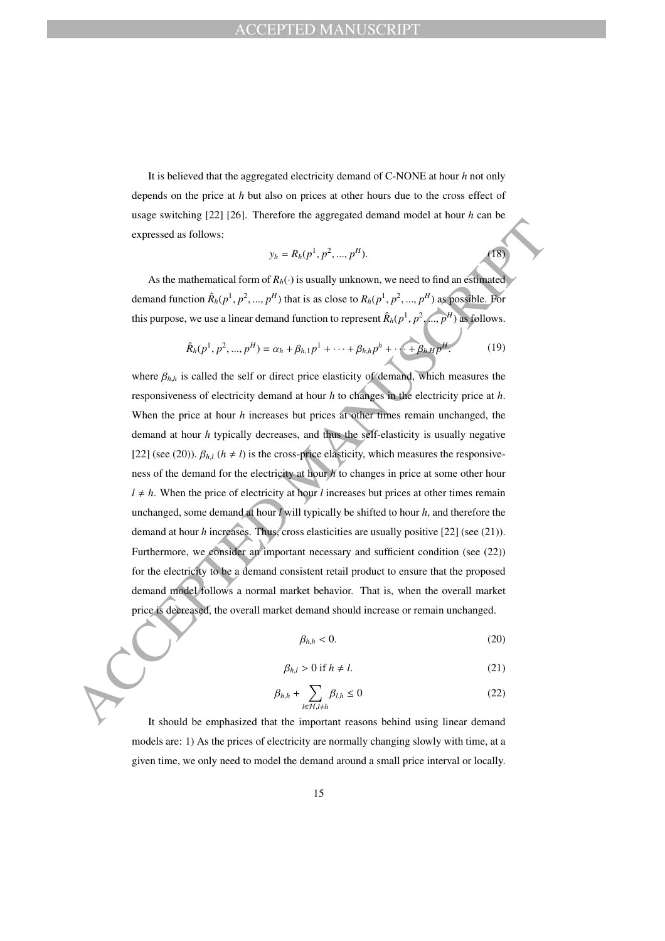It is believed that the aggregated electricity demand of C-NONE at hour *h* not only depends on the price at *h* but also on prices at other hours due to the cross effect of usage switching [22] [26]. Therefore the aggregated demand model at hour *h* can be expressed as follows:

$$
y_h = R_h(p^1, p^2, ..., p^H).
$$

As the mathematical form of  $R_h(\cdot)$  is usually unknown, we need to find an estimated demand function  $\hat{R}_h(p^1, p^2, ..., p^H)$  that is as close to  $R_h(p^1, p^2, ..., p^H)$  as possible. For this purpose, we use a linear demand function to represent  $\hat{R}_h(p^1, p^2, ..., p^H)$  as follows.

$$
\hat{R}_h(p^1, p^2, ..., p^H) = \alpha_h + \beta_{h,1} p^1 + \dots + \beta_{h,h} p^h + \dots + \beta_{h,H} p^H.
$$
 (19)

 $(18)$ 

expressed as follows:<br>  $y_k = R_0(\rho^1, \rho^2, ..., \rho^N)$ .<br>
As the mathematical form of  $R_0(\cdot)$  is usually unknown, we need to find an definated<br>
demand function  $\hat{R}_0(\rho^1, \rho^2, ..., \rho^N)$  that is a clear to  $R_0(\rho^1, \rho^2, ..., \rho^N)$  as where  $\beta_{h,h}$  is called the self or direct price elasticity of demand, which measures the responsiveness of electricity demand at hour *h* to changes in the electricity price at *h*. When the price at hour *h* increases but prices at other times remain unchanged, the demand at hour *h* typically decreases, and thus the self-elasticity is usually negative [22] (see (20)).  $\beta_{h,l}$  ( $h \neq l$ ) is the cross-price elasticity, which measures the responsiveness of the demand for the electricity at hour *h* to changes in price at some other hour  $l \neq h$ . When the price of electricity at hour *l* increases but prices at other times remain unchanged, some demand at hour *l* will typically be shifted to hour *h*, and therefore the demand at hour *h* increases. Thus, cross elasticities are usually positive [22] (see (21)). Furthermore, we consider an important necessary and sufficient condition (see (22)) for the electricity to be a demand consistent retail product to ensure that the proposed demand model follows a normal market behavior. That is, when the overall market price is decreased, the overall market demand should increase or remain unchanged.

$$
\beta_{h,h} < 0. \tag{20}
$$

$$
\beta_{h,l} > 0 \text{ if } h \neq l. \tag{21}
$$

$$
\beta_{h,h} + \sum_{l \in \mathcal{H}, l \neq h} \beta_{l,h} \le 0 \tag{22}
$$

It should be emphasized that the important reasons behind using linear demand models are: 1) As the prices of electricity are normally changing slowly with time, at a given time, we only need to model the demand around a small price interval or locally.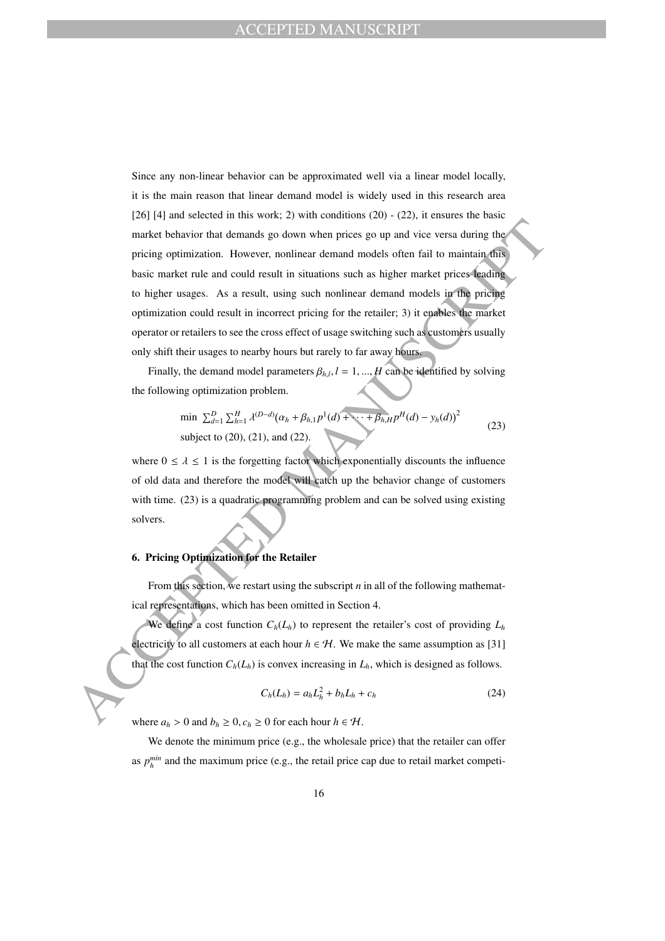maket behavior that demands go down when prices go up and vice versa during the<br>pricing optimization. However, nonlinear demand models often fail to maintain dis-<br>this multi-trial und cool treath in simulation star-<br>in th Since any non-linear behavior can be approximated well via a linear model locally, it is the main reason that linear demand model is widely used in this research area [26] [4] and selected in this work; 2) with conditions (20) - (22), it ensures the basic market behavior that demands go down when prices go up and vice versa during the pricing optimization. However, nonlinear demand models often fail to maintain this basic market rule and could result in situations such as higher market prices leading to higher usages. As a result, using such nonlinear demand models in the pricing optimization could result in incorrect pricing for the retailer; 3) it enables the market operator or retailers to see the cross effect of usage switching such as customers usually only shift their usages to nearby hours but rarely to far away hours.

Finally, the demand model parameters  $\beta_{h,l}$ ,  $l = 1, ..., H$  can be identified by solving the following optimization problem.

$$
\min \sum_{d=1}^{D} \sum_{h=1}^{H} \lambda^{(D-d)} (\alpha_h + \beta_{h,1} p^1(d) + \dots + \beta_{h,H} p^H(d) - y_h(d))^2
$$
\nsubject to (20), (21), and (22).

where  $0 \le \lambda \le 1$  is the forgetting factor which exponentially discounts the influence of old data and therefore the model will catch up the behavior change of customers with time. (23) is a quadratic programming problem and can be solved using existing solvers.

### **6. Pricing Optimization for the Retailer**

From this section, we restart using the subscript *n* in all of the following mathematical representations, which has been omitted in Section 4.

We define a cost function  $C_h(L_h)$  to represent the retailer's cost of providing  $L_h$ electricity to all customers at each hour  $h \in \mathcal{H}$ . We make the same assumption as [31] that the cost function  $C_h(L_h)$  is convex increasing in  $L_h$ , which is designed as follows.

$$
C_h(L_h) = a_h L_h^2 + b_h L_h + c_h \tag{24}
$$

where  $a_h > 0$  and  $b_h \geq 0$ ,  $c_h \geq 0$  for each hour  $h \in \mathcal{H}$ .

We denote the minimum price (e.g., the wholesale price) that the retailer can offer as  $p_h^{min}$  and the maximum price (e.g., the retail price cap due to retail market competi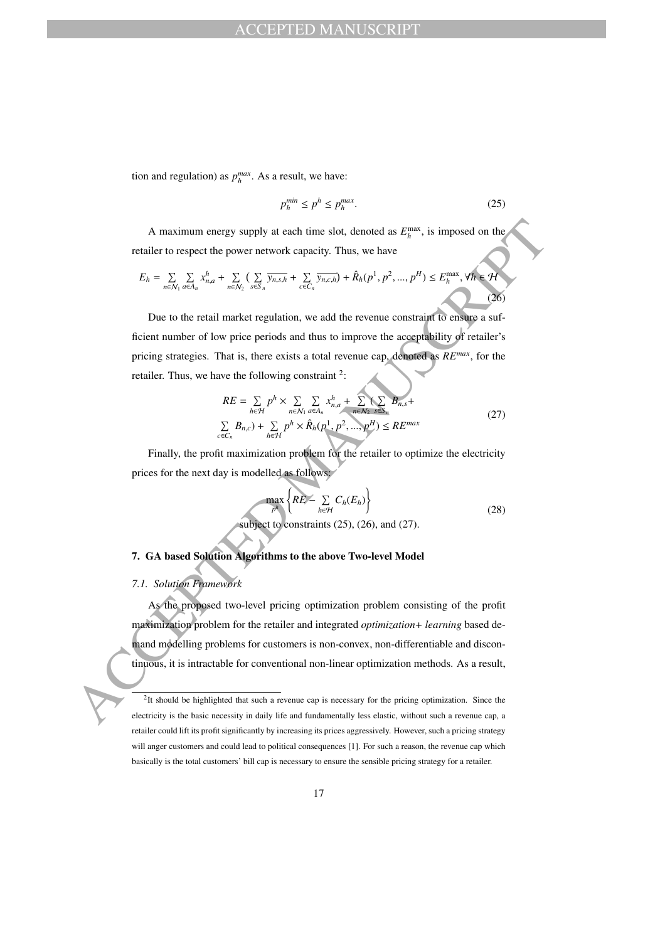tion and regulation) as  $p_h^{max}$ . As a result, we have:

$$
p_h^{min} \le p^h \le p_h^{max}.\tag{25}
$$

A maximum energy supply at each time slot, denoted as  $E_h^{\text{max}}$ , is imposed on the retailer to respect the power network capacity. Thus, we have

$$
E_h = \sum_{n \in \mathcal{N}_1} \sum_{a \in A_n} x_{n,a}^h + \sum_{n \in \mathcal{N}_2} \left( \sum_{s \in S_n} \overline{y_{n,s,h}} + \sum_{c \in C_n} \overline{y_{n,c,h}} \right) + \hat{R}_h(p^1, p^2, ..., p^H) \le E_h^{\max}, \forall h \in \mathcal{H}
$$
\n(26)

Due to the retail market regulation, we add the revenue constraint to ensure a sufficient number of low price periods and thus to improve the acceptability of retailer's pricing strategies. That is, there exists a total revenue cap, denoted as *REmax*, for the retailer. Thus, we have the following constraint  $2$ :

$$
RE = \sum_{h \in \mathcal{H}} p^h \times \sum_{n \in \mathcal{N}_1} \sum_{a \in A_n} x_{n,a}^h + \sum_{n \in \mathcal{N}_2} (\sum_{s \in S_n} B_{n,s} + \sum_{n \in \mathcal{H}} B_{n,c}) + \sum_{h \in \mathcal{H}} p^h \times \hat{R}_h(p^1, p^2, ..., p^H) \leq RE^{max}
$$
\n
$$
(27)
$$

Finally, the profit maximization problem for the retailer to optimize the electricity prices for the next day is modelled as follows:

$$
\max_{p^h} \left\{ RE - \sum_{h \in \mathcal{H}} C_h(E_h) \right\}
$$
subject to constraints (25), (26), and (27). (28)

## **7. GA based Solution Algorithms to the above Two-level Model**

### *7.1. Solution Framework*

A maximum energy supply at each time slot, denoted as  $F_n^{\text{max}}$ , is imposed on the<br>retailer to respect the power network capacity. Thus, we have<br> $F_n = \sum_{n \text{min}} \sum_{n \neq n} x_{n+1}^{\text{max}} = \sum_{n \neq n} \sum_{n \neq n} \sum_{n \neq n} \sum_{n \neq n} \sum_{n$ As the proposed two-level pricing optimization problem consisting of the profit maximization problem for the retailer and integrated *optimization+ learning* based demand modelling problems for customers is non-convex, non-differentiable and discontinuous, it is intractable for conventional non-linear optimization methods. As a result,

 ${}^{2}$ It should be highlighted that such a revenue cap is necessary for the pricing optimization. Since the electricity is the basic necessity in daily life and fundamentally less elastic, without such a revenue cap, a retailer could lift its profit significantly by increasing its prices aggressively. However, such a pricing strategy will anger customers and could lead to political consequences [1]. For such a reason, the revenue cap which basically is the total customers' bill cap is necessary to ensure the sensible pricing strategy for a retailer.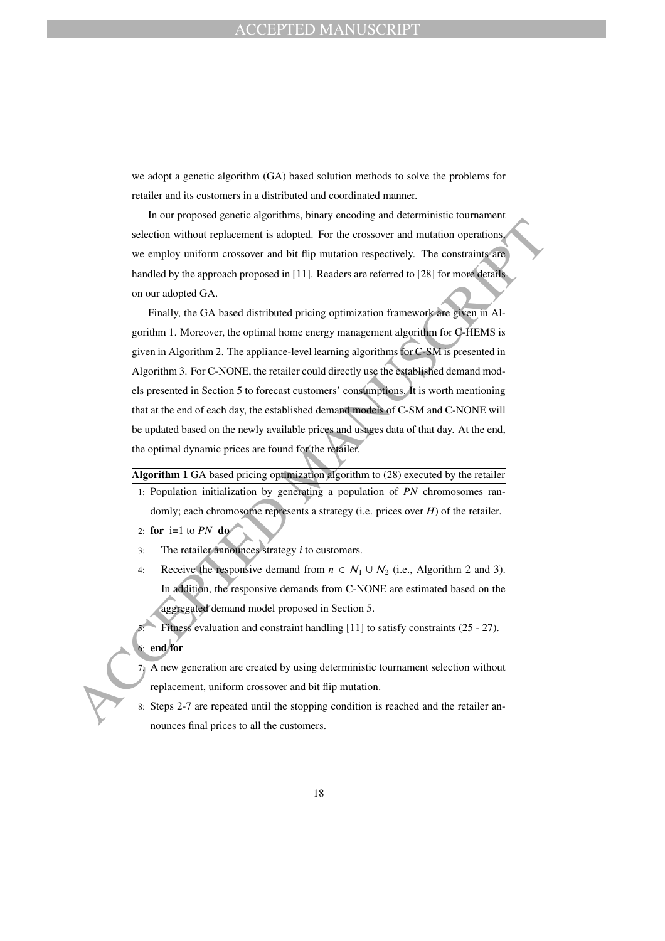we adopt a genetic algorithm (GA) based solution methods to solve the problems for retailer and its customers in a distributed and coordinated manner.

In our proposed genetic algorithms, binary encoding and deterministic tournament selection without replacement is adopted. For the crossover and mutation operations, we employ uniform crossover and bit flip mutation respectively. The constraints are handled by the approach proposed in [11]. Readers are referred to [28] for more details on our adopted GA.

selection without replacement is adopted. For the crossover and mutation operations<br>we employ uniform crossover and bit flip mutation respectively. The constraints of<br>hunded by the approach proposed in [11]. Readers are r Finally, the GA based distributed pricing optimization framework are given in Algorithm 1. Moreover, the optimal home energy management algorithm for C-HEMS is given in Algorithm 2. The appliance-level learning algorithms for C-SM is presented in Algorithm 3. For C-NONE, the retailer could directly use the established demand models presented in Section 5 to forecast customers' consumptions. It is worth mentioning that at the end of each day, the established demand models of C-SM and C-NONE will be updated based on the newly available prices and usages data of that day. At the end, the optimal dynamic prices are found for the retailer.

**Algorithm 1** GA based pricing optimization algorithm to (28) executed by the retailer

- 1: Population initialization by generating a population of *PN* chromosomes randomly; each chromosome represents a strategy (i.e. prices over *H*) of the retailer.
- 2: **for** i=1 to *PN* **do**
- 3: The retailer announces strategy *i* to customers.
- 4: Receive the responsive demand from  $n \in \mathcal{N}_1 \cup \mathcal{N}_2$  (i.e., Algorithm 2 and 3). In addition, the responsive demands from C-NONE are estimated based on the aggregated demand model proposed in Section 5.

Fitness evaluation and constraint handling [11] to satisfy constraints (25 - 27). 6: **end for**

7: A new generation are created by using deterministic tournament selection without replacement, uniform crossover and bit flip mutation.

8: Steps 2-7 are repeated until the stopping condition is reached and the retailer announces final prices to all the customers.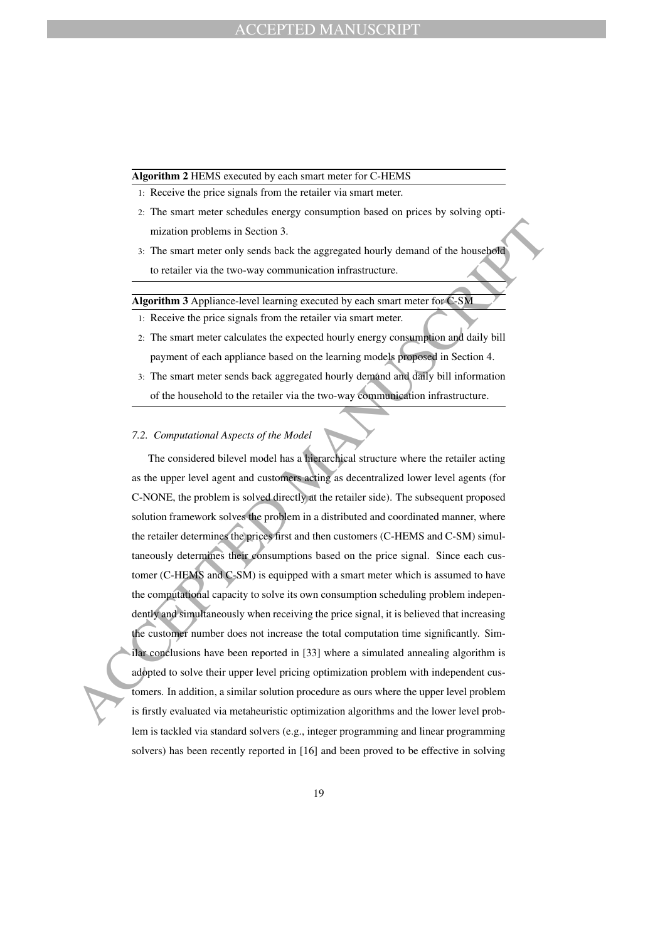#### **Algorithm 2** HEMS executed by each smart meter for C-HEMS

- 1: Receive the price signals from the retailer via smart meter.
- 2: The smart meter schedules energy consumption based on prices by solving optimization problems in Section 3.
- 3: The smart meter only sends back the aggregated hourly demand of the household to retailer via the two-way communication infrastructure.

**Algorithm 3** Appliance-level learning executed by each smart meter for C-SM

- 1: Receive the price signals from the retailer via smart meter.
- 2: The smart meter calculates the expected hourly energy consumption and daily bill payment of each appliance based on the learning models proposed in Section 4.
- 3: The smart meter sends back aggregated hourly demand and daily bill information of the household to the retailer via the two-way communication infrastructure.

#### *7.2. Computational Aspects of the Model*

mization problems in Section 3.<br>
3. The smart meter only sends back the aggregated bourly demand of the household<br>
to retailer value trow-say communication infrastructure.<br>
Algorithm 3 Applinace-level learning occurred by The considered bilevel model has a hierarchical structure where the retailer acting as the upper level agent and customers acting as decentralized lower level agents (for C-NONE, the problem is solved directly at the retailer side). The subsequent proposed solution framework solves the problem in a distributed and coordinated manner, where the retailer determines the prices first and then customers (C-HEMS and C-SM) simultaneously determines their consumptions based on the price signal. Since each customer (C-HEMS and C-SM) is equipped with a smart meter which is assumed to have the computational capacity to solve its own consumption scheduling problem independently and simultaneously when receiving the price signal, it is believed that increasing the customer number does not increase the total computation time significantly. Similar conclusions have been reported in [33] where a simulated annealing algorithm is adopted to solve their upper level pricing optimization problem with independent customers. In addition, a similar solution procedure as ours where the upper level problem is firstly evaluated via metaheuristic optimization algorithms and the lower level problem is tackled via standard solvers (e.g., integer programming and linear programming solvers) has been recently reported in [16] and been proved to be effective in solving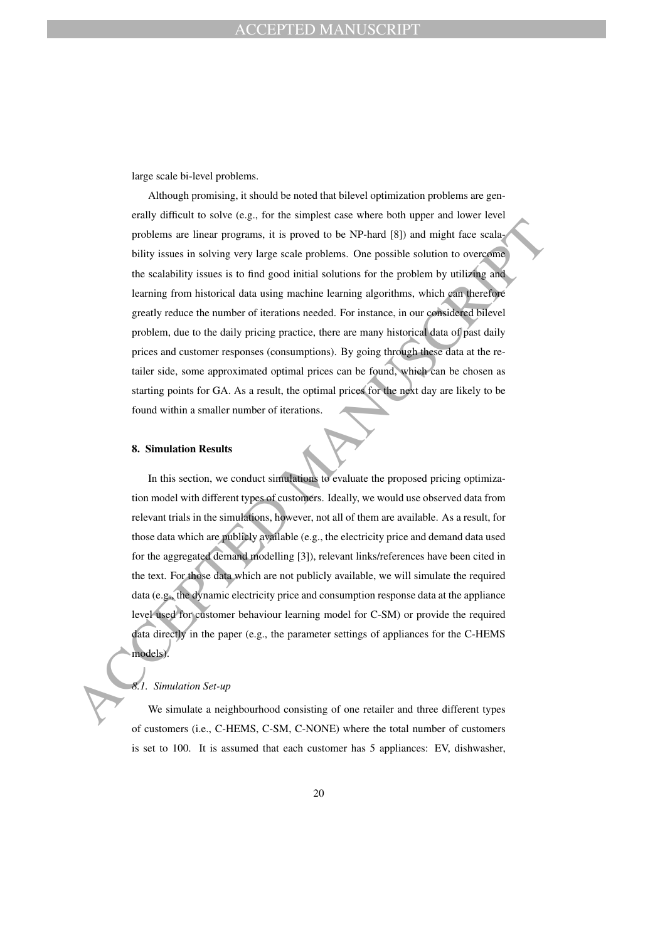large scale bi-level problems.

problems are linear programs, it is proved to be NP-hard (81) and might face scalar<br>bility issues in solving very large scale problems. One possible solution to overcome<br>the variability issues in individual solution for t Although promising, it should be noted that bilevel optimization problems are generally difficult to solve (e.g., for the simplest case where both upper and lower level problems are linear programs, it is proved to be NP-hard [8]) and might face scalability issues in solving very large scale problems. One possible solution to overcome the scalability issues is to find good initial solutions for the problem by utilizing and learning from historical data using machine learning algorithms, which can therefore greatly reduce the number of iterations needed. For instance, in our considered bilevel problem, due to the daily pricing practice, there are many historical data of past daily prices and customer responses (consumptions). By going through these data at the retailer side, some approximated optimal prices can be found, which can be chosen as starting points for GA. As a result, the optimal prices for the next day are likely to be found within a smaller number of iterations.

#### **8. Simulation Results**

In this section, we conduct simulations to evaluate the proposed pricing optimization model with different types of customers. Ideally, we would use observed data from relevant trials in the simulations, however, not all of them are available. As a result, for those data which are publicly available (e.g., the electricity price and demand data used for the aggregated demand modelling [3]), relevant links/references have been cited in the text. For those data which are not publicly available, we will simulate the required data (e.g., the dynamic electricity price and consumption response data at the appliance level used for customer behaviour learning model for C-SM) or provide the required data directly in the paper (e.g., the parameter settings of appliances for the C-HEMS models).

#### *8.1. Simulation Set-up*

We simulate a neighbourhood consisting of one retailer and three different types of customers (i.e., C-HEMS, C-SM, C-NONE) where the total number of customers is set to 100. It is assumed that each customer has 5 appliances: EV, dishwasher,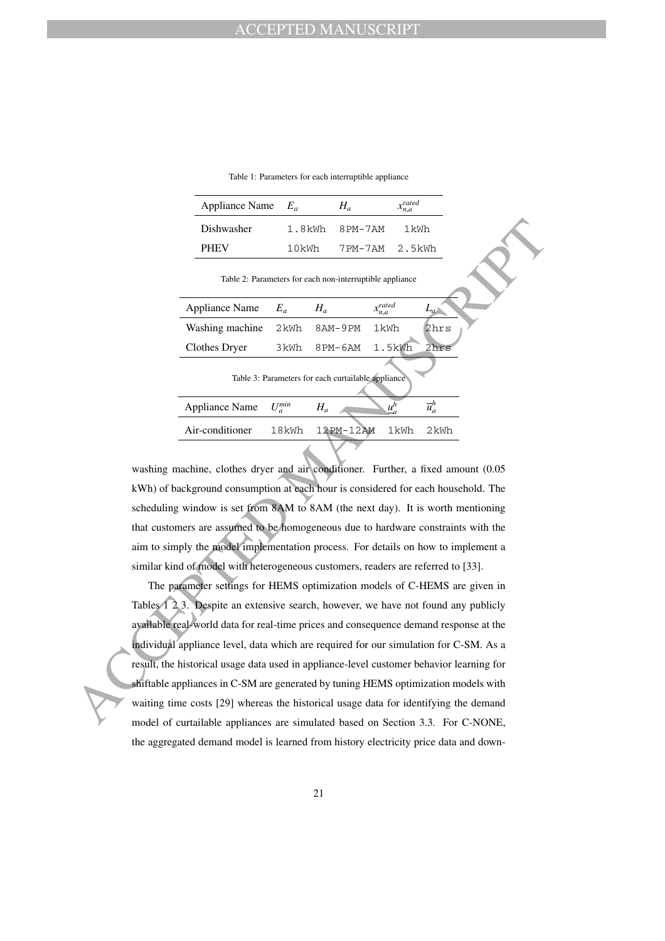Table 1: Parameters for each interruptible appliance

| Appliance Name $E_a$ |       | Н.,            | $x_{n,a}^{rated}$ |
|----------------------|-------|----------------|-------------------|
| Dishwasher           |       | 1.8kWh 8PM-7AM | 1kWh              |
| <b>PHEV</b>          | 10kWh | 7PM-7AM 2.5kWh |                   |

|  | Dishwasher                                                                                                                 | $1.8$ kWh   | 8PM-7AM                                                  |                     | 1kWh               |  |
|--|----------------------------------------------------------------------------------------------------------------------------|-------------|----------------------------------------------------------|---------------------|--------------------|--|
|  | <b>PHEV</b>                                                                                                                | 10kWh       | 7PM-7AM                                                  |                     | 2.5kWh             |  |
|  |                                                                                                                            |             | Table 2: Parameters for each non-interruptible appliance |                     |                    |  |
|  | <b>Appliance Name</b>                                                                                                      | $E_a$       | $H_a$                                                    | $x_{n,a}^{rated}$   | $L_a$              |  |
|  | Washing machine                                                                                                            | 2kWh        | 8AM-9PM                                                  | 1kWh                | 2hrs               |  |
|  | <b>Clothes Dryer</b>                                                                                                       | 3kWh        | 8PM-6AM                                                  | 1.5kWh              | 2hrs               |  |
|  |                                                                                                                            |             | Table 3: Parameters for each curtailable appliance       |                     |                    |  |
|  | <b>Appliance Name</b>                                                                                                      | $U_a^{min}$ | $H_a$                                                    | $\underline{u}_a^h$ | $\overline{u}_a^h$ |  |
|  | Air-conditioner                                                                                                            | 18kWh       | 12PM-12AM                                                | 1kWh                | 2kWh               |  |
|  |                                                                                                                            |             |                                                          |                     |                    |  |
|  | washing machine, clothes dryer and air conditioner. Further, a fixed amount (0.05                                          |             |                                                          |                     |                    |  |
|  | kWh) of background consumption at each hour is considered for each household. The                                          |             |                                                          |                     |                    |  |
|  | scheduling window is set from 8AM to 8AM (the next day). It is worth mentioning                                            |             |                                                          |                     |                    |  |
|  | that customers are assumed to be homogeneous due to hardware constraints with the                                          |             |                                                          |                     |                    |  |
|  | aim to simply the model implementation process. For details on how to implement a                                          |             |                                                          |                     |                    |  |
|  | similar kind of model with heterogeneous customers, readers are referred to [33].                                          |             |                                                          |                     |                    |  |
|  | The parameter settings for HEMS optimization models of C-HEMS are given in                                                 |             |                                                          |                     |                    |  |
|  | Tables $\overline{1}$ $\overline{2}$ $\overline{3}$ . Despite an extensive search, however, we have not found any publicly |             |                                                          |                     |                    |  |
|  | available real-world data for real-time prices and consequence demand response at the                                      |             |                                                          |                     |                    |  |
|  | individual appliance level, data which are required for our simulation for C-SM. As a                                      |             |                                                          |                     |                    |  |
|  | result, the historical usage data used in appliance-level customer behavior learning for                                   |             |                                                          |                     |                    |  |
|  | shiftable appliances in C-SM are generated by tuning HEMS optimization models with                                         |             |                                                          |                     |                    |  |
|  | waiting time costs [29] whereas the historical usage data for identifying the demand                                       |             |                                                          |                     |                    |  |
|  | model of curtailable appliances are simulated based on Section 3.3. For C-NONE.                                            |             |                                                          |                     |                    |  |

The parameter settings for HEMS optimization models of C-HEMS are given in Tables 1 2 3. Despite an extensive search, however, we have not found any publicly available real-world data for real-time prices and consequence demand response at the individual appliance level, data which are required for our simulation for C-SM. As a result, the historical usage data used in appliance-level customer behavior learning for shiftable appliances in C-SM are generated by tuning HEMS optimization models with waiting time costs [29] whereas the historical usage data for identifying the demand model of curtailable appliances are simulated based on Section 3.3. For C-NONE, the aggregated demand model is learned from history electricity price data and down-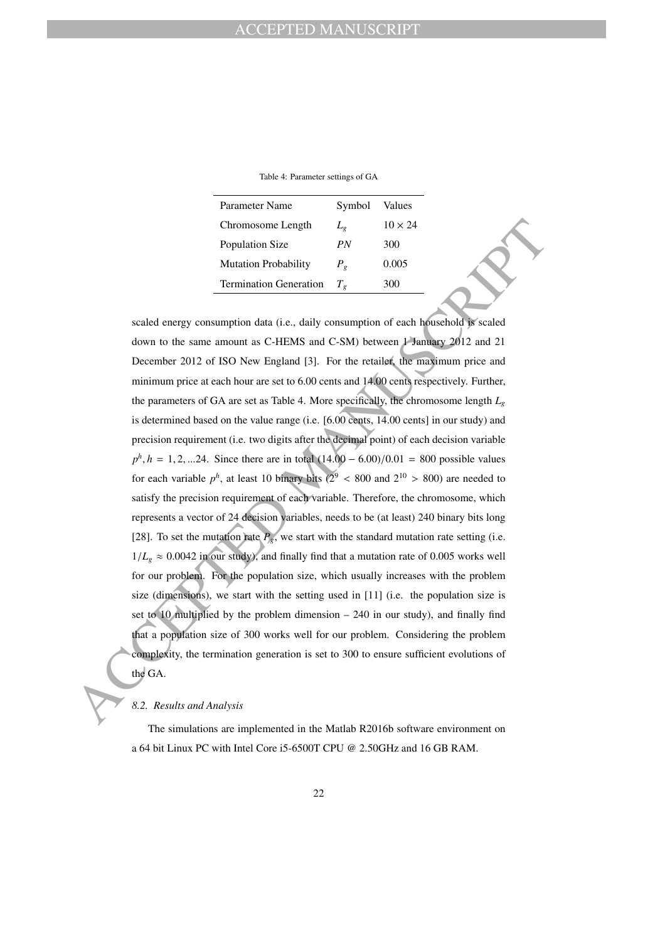Table 4: Parameter settings of GA

| Parameter Name                | Symbol        | Values         |
|-------------------------------|---------------|----------------|
| Chromosome Length             | $L_{\varrho}$ | $10 \times 24$ |
| Population Size               | PN            | 300            |
| <b>Mutation Probability</b>   | $P_{\rho}$    | 0.005          |
| <b>Termination Generation</b> | $T_{o}$       | 300            |

Chromosome Length  $L_z$  10 × 24<br>
Population Size  $\mu_Y$  300<br>
Mutation Forbability  $\mu_z$  0.005<br>
Mutation Forbability  $\mu_z$  0.005<br>
Termination Generation  $T_x$  300<br>
Scaled energy consumption ofta (i.e., daily consumption of ea scaled energy consumption data (i.e., daily consumption of each household is scaled down to the same amount as C-HEMS and C-SM) between 1 January 2012 and 21 December 2012 of ISO New England [3]. For the retailer, the maximum price and minimum price at each hour are set to 6.00 cents and 14.00 cents respectively. Further, the parameters of GA are set as Table 4. More specifically, the chromosome length  $L_g$ is determined based on the value range (i.e. [6.00 cents, 14.00 cents] in our study) and precision requirement (i.e. two digits after the decimal point) of each decision variable  $p^h$ , *h* = 1, 2, ...24. Since there are in total (14.00 – 6.00)/0.01 = 800 possible values for each variable  $p^h$ , at least 10 binary bits ( $2^9$  < 800 and  $2^{10}$  > 800) are needed to satisfy the precision requirement of each variable. Therefore, the chromosome, which represents a vector of 24 decision variables, needs to be (at least) 240 binary bits long [28]. To set the mutation rate  $P_g$ , we start with the standard mutation rate setting (i.e.  $1/L<sub>g</sub> \approx 0.0042$  in our study), and finally find that a mutation rate of 0.005 works well for our problem. For the population size, which usually increases with the problem size (dimensions), we start with the setting used in [11] (i.e. the population size is set to 10 multiplied by the problem dimension – 240 in our study), and finally find that a population size of 300 works well for our problem. Considering the problem complexity, the termination generation is set to 300 to ensure sufficient evolutions of the GA.

### *8.2. Results and Analysis*

The simulations are implemented in the Matlab R2016b software environment on a 64 bit Linux PC with Intel Core i5-6500T CPU @ 2.50GHz and 16 GB RAM.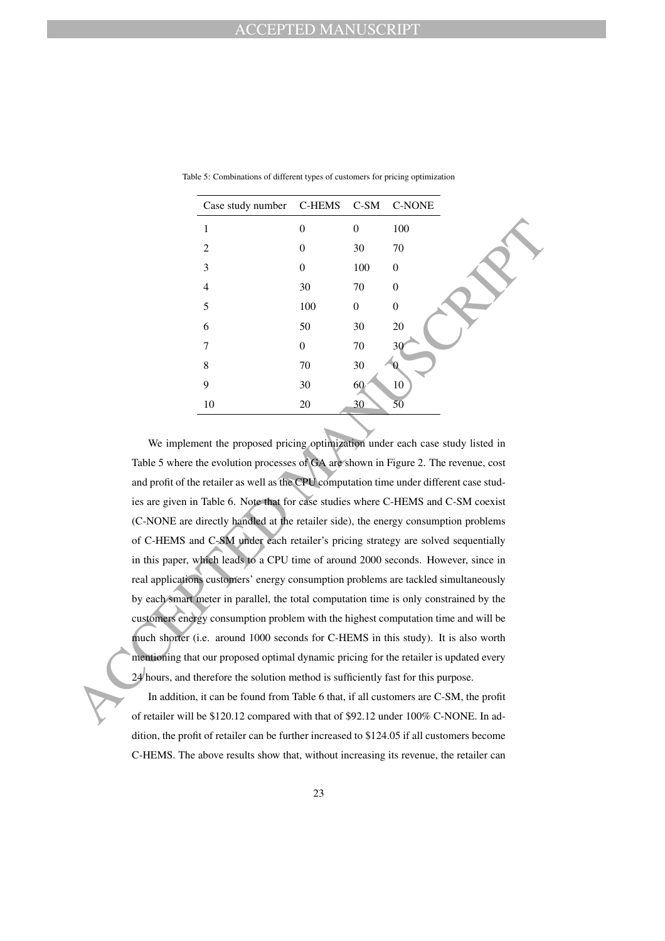| Case study number C-HEMS C-SM C-NONE |                  |              |                  |
|--------------------------------------|------------------|--------------|------------------|
| 1                                    | $\overline{0}$   | $\mathbf{0}$ | 100              |
| $\overline{2}$                       | $\overline{0}$   | 30           | 70               |
| 3                                    | $\overline{0}$   | 100          | $\boldsymbol{0}$ |
| $\overline{4}$                       | 30               | 70           | $\overline{0}$   |
| 5                                    | 100              | $\mathbf{0}$ | $\boldsymbol{0}$ |
| 6                                    | 50               | 30           | 20               |
| 7                                    | $\boldsymbol{0}$ | 70           | 30               |
| 8                                    | $70\,$           | 30           | H                |
| 9                                    | 30               | 60           | 10               |
| 10                                   | $20\,$           | 30           | $\overline{50}$  |

Table 5: Combinations of different types of customers for pricing optimization

1 0 0 0 100<br>
2 0 30 70<br>
3 0 30 70<br>
4 3 0 70 0<br>
5 100 0 0<br>
6 50 30 70<br>
6 10 100 0<br>
6 50 30 70<br>
7 2<br>
7 10 30 2<br>
7 10 30 2<br>
10 20 2<br>
7 10 30 2<br>
10 20 2<br>
10 20 2<br>
10 20 2<br>
10 30 4<br>
10 20 2<br>
10 30 5<br>
We implement the proposed We implement the proposed pricing optimization under each case study listed in Table 5 where the evolution processes of GA are shown in Figure 2. The revenue, cost and profit of the retailer as well as the CPU computation time under different case studies are given in Table 6. Note that for case studies where C-HEMS and C-SM coexist (C-NONE are directly handled at the retailer side), the energy consumption problems of C-HEMS and C-SM under each retailer's pricing strategy are solved sequentially in this paper, which leads to a CPU time of around 2000 seconds. However, since in real applications customers' energy consumption problems are tackled simultaneously by each smart meter in parallel, the total computation time is only constrained by the customers energy consumption problem with the highest computation time and will be much shorter (i.e. around 1000 seconds for C-HEMS in this study). It is also worth mentioning that our proposed optimal dynamic pricing for the retailer is updated every 24 hours, and therefore the solution method is sufficiently fast for this purpose.

In addition, it can be found from Table 6 that, if all customers are C-SM, the profit of retailer will be \$120.12 compared with that of \$92.12 under 100% C-NONE. In addition, the profit of retailer can be further increased to \$124.05 if all customers become C-HEMS. The above results show that, without increasing its revenue, the retailer can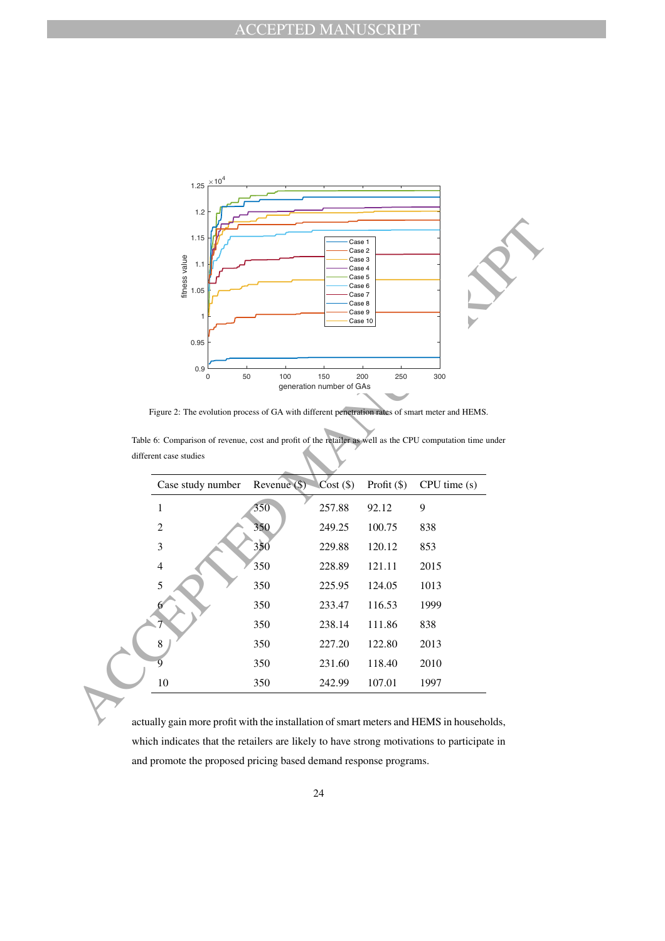

Figure 2: The evolution process of GA with different penetration rates of smart meter and HEMS.

| Table 6: Comparison of revenue, cost and profit of the retailer as well as the CPU computation time under |  |  |  |  |
|-----------------------------------------------------------------------------------------------------------|--|--|--|--|
|                                                                                                           |  |  |  |  |
| different case studies                                                                                    |  |  |  |  |

| 1.15<br>fitness value<br>1.1<br>1.05<br>1                                                                 |              | Case 1<br>Case 2<br>Case 3<br>Case 4<br>Case 5<br>Case 6<br>Case 7<br>Case 8<br>Case 9 | Case 10     |             |
|-----------------------------------------------------------------------------------------------------------|--------------|----------------------------------------------------------------------------------------|-------------|-------------|
| 0.95<br>0.9<br>$\mathbf 0$                                                                                | 50<br>100    | 150<br>generation number of GAs                                                        | 200<br>250  | 300         |
| Figure 2: The evolution process of GA with different penetration rates of smart meter and HEMS.           |              |                                                                                        |             |             |
|                                                                                                           |              |                                                                                        |             |             |
| Table 6: Comparison of revenue, cost and profit of the retailer as well as the CPU computation time under |              |                                                                                        |             |             |
| different case studies                                                                                    |              |                                                                                        |             |             |
| Case study number                                                                                         | Revenue (\$) | $Cost($ \$)                                                                            | Profit (\$) | CPU time(s) |
| $\mathbf{1}$                                                                                              | 350          | 257.88                                                                                 | 92.12       | 9           |
| $\overline{c}$                                                                                            | 350          | 249.25                                                                                 | 100.75      | 838         |
| 3                                                                                                         | 350          | 229.88                                                                                 | 120.12      | 853         |
| $\overline{4}$                                                                                            | 350          | 228.89                                                                                 | 121.11      | 2015        |
| 5                                                                                                         | 350          | 225.95                                                                                 | 124.05      | 1013        |
|                                                                                                           | 350          | 233.47                                                                                 | 116.53      | 1999        |
|                                                                                                           | 350          | 238.14                                                                                 | 111.86      | 838         |
| 8                                                                                                         | 350          | 227.20                                                                                 | 122.80      | 2013        |
| ğ                                                                                                         | 350          | 231.60                                                                                 | 118.40      | 2010        |

actually gain more profit with the installation of smart meters and HEMS in households, which indicates that the retailers are likely to have strong motivations to participate in and promote the proposed pricing based demand response programs.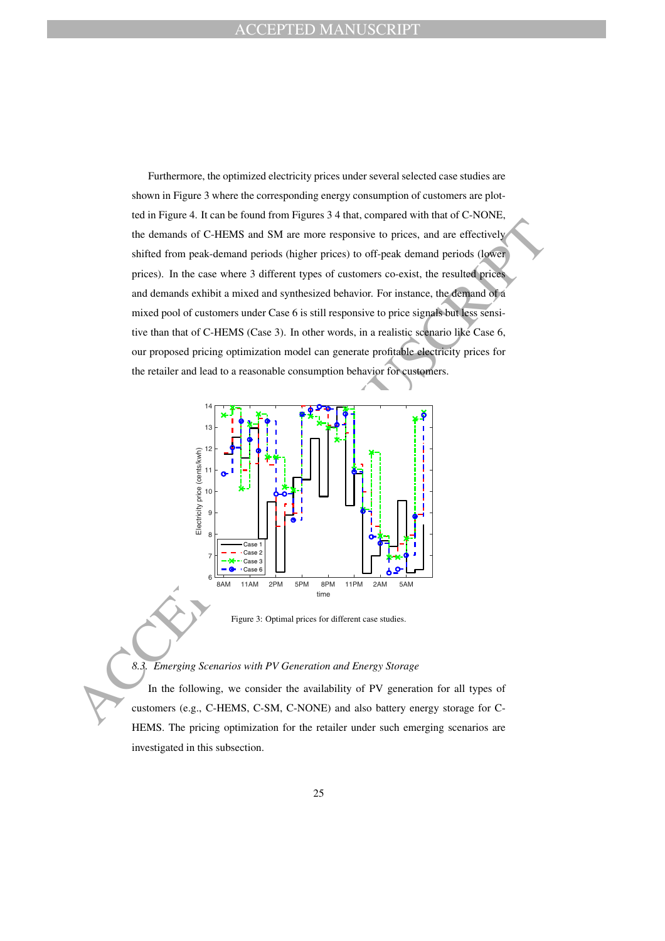the demands of C-IIEMS and SM are more responsive to prices, and are effectively<br>sinifed from peak-demand periods (lugher prices) to off-peak demand periods (lower<br>prices).<br>
The case where a different theoretic constraint Furthermore, the optimized electricity prices under several selected case studies are shown in Figure 3 where the corresponding energy consumption of customers are plotted in Figure 4. It can be found from Figures 3 4 that, compared with that of C-NONE, the demands of C-HEMS and SM are more responsive to prices, and are effectively shifted from peak-demand periods (higher prices) to off-peak demand periods (lower prices). In the case where 3 different types of customers co-exist, the resulted prices and demands exhibit a mixed and synthesized behavior. For instance, the demand of a mixed pool of customers under Case 6 is still responsive to price signals but less sensitive than that of C-HEMS (Case 3). In other words, in a realistic scenario like Case 6, our proposed pricing optimization model can generate profitable electricity prices for the retailer and lead to a reasonable consumption behavior for customers.



Figure 3: Optimal prices for different case studies.

# *8.3. Emerging Scenarios with PV Generation and Energy Storage*

In the following, we consider the availability of PV generation for all types of customers (e.g., C-HEMS, C-SM, C-NONE) and also battery energy storage for C-HEMS. The pricing optimization for the retailer under such emerging scenarios are investigated in this subsection.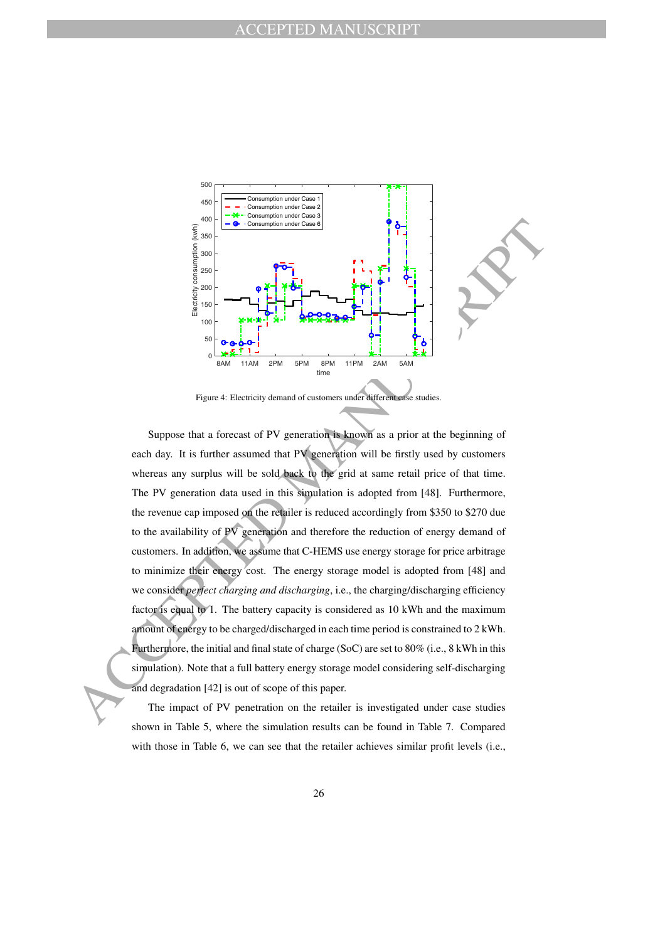

Figure 4: Electricity demand of customers under different case studies.

 $\frac{2}{3}$  and  $\frac{2}{3}$  are  $\frac{2}{3}$  and  $\frac{2}{3}$  and  $\frac{2}{3}$  and  $\frac{2}{3}$  and  $\frac{2}{3}$  and  $\frac{2}{3}$  and  $\frac{2}{3}$  and  $\frac{2}{3}$  and  $\frac{2}{3}$  and  $\frac{2}{3}$  and  $\frac{2}{3}$  and  $\frac{2}{3}$  and  $\frac{2}{3}$  and  $\frac{2}{3}$  a Suppose that a forecast of PV generation is known as a prior at the beginning of each day. It is further assumed that PV generation will be firstly used by customers whereas any surplus will be sold back to the grid at same retail price of that time. The PV generation data used in this simulation is adopted from [48]. Furthermore, the revenue cap imposed on the retailer is reduced accordingly from \$350 to \$270 due to the availability of PV generation and therefore the reduction of energy demand of customers. In addition, we assume that C-HEMS use energy storage for price arbitrage to minimize their energy cost. The energy storage model is adopted from [48] and we consider *perfect charging and discharging*, i.e., the charging/discharging efficiency factor is equal to 1. The battery capacity is considered as 10 kWh and the maximum amount of energy to be charged/discharged in each time period is constrained to 2 kWh. Furthermore, the initial and final state of charge (SoC) are set to 80% (i.e., 8 kWh in this simulation). Note that a full battery energy storage model considering self-discharging and degradation [42] is out of scope of this paper.

The impact of PV penetration on the retailer is investigated under case studies shown in Table 5, where the simulation results can be found in Table 7. Compared with those in Table 6, we can see that the retailer achieves similar profit levels (i.e.,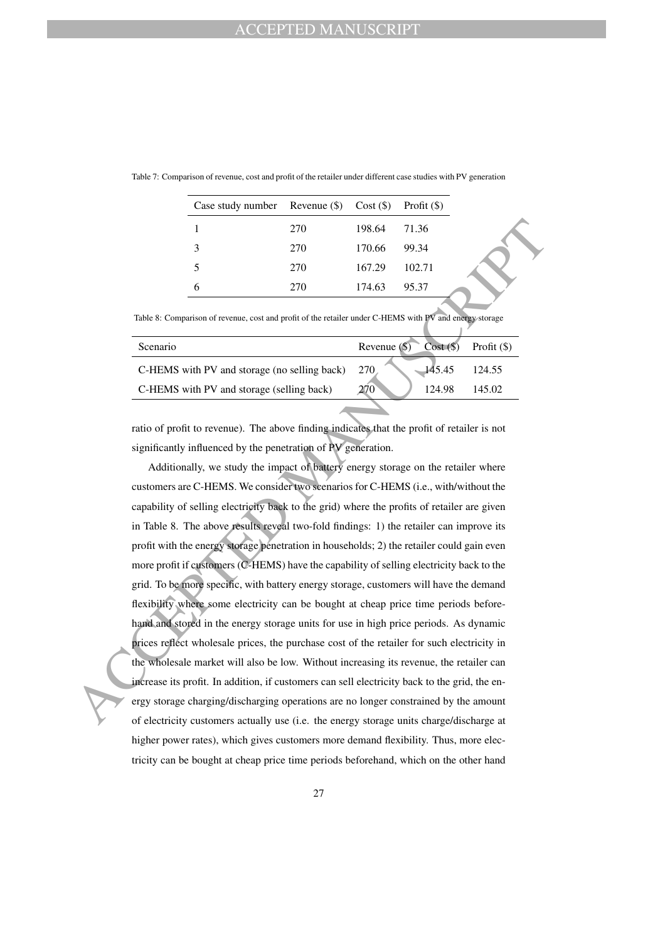| Case study number Revenue $(\$)$ Cost $(\$)$ Profit $(\$)$ |     |        |        |
|------------------------------------------------------------|-----|--------|--------|
|                                                            | 270 | 198.64 | 71.36  |
| 3                                                          | 270 | 170.66 | 99.34  |
| 5                                                          | 270 | 167.29 | 102.71 |
|                                                            | 270 | 174.63 | 95.37  |

Table 7: Comparison of revenue, cost and profit of the retailer under different case studies with PV generation

Table 8: Comparison of revenue, cost and profit of the retailer under C-HEMS with PV and energy storage

| Scenario                                     | $Cost($ \$)<br>Revenue $(\mathbb{S})$ | Profit $(\$)$ |
|----------------------------------------------|---------------------------------------|---------------|
| C-HEMS with PV and storage (no selling back) | -145.45<br>270                        | 124.55        |
| C-HEMS with PV and storage (selling back)    | 270<br>124.98                         | 145.02        |
|                                              |                                       |               |

ratio of profit to revenue). The above finding indicates that the profit of retailer is not significantly influenced by the penetration of PV generation.

1 270 198.64 71.36<br>
3 270 170.66 9 241<br>
5 270 170.66 9 241<br>
5 270 170.69 10.2.71<br>
6 270 174.63 95.37<br>
This is comparison of researce, can and profit of the readier under C-HTMS with pV and example second<br>
Securation<br>
Secu Additionally, we study the impact of battery energy storage on the retailer where customers are C-HEMS. We consider two scenarios for C-HEMS (i.e., with/without the capability of selling electricity back to the grid) where the profits of retailer are given in Table 8. The above results reveal two-fold findings: 1) the retailer can improve its profit with the energy storage penetration in households; 2) the retailer could gain even more profit if customers (C-HEMS) have the capability of selling electricity back to the grid. To be more specific, with battery energy storage, customers will have the demand flexibility where some electricity can be bought at cheap price time periods beforehand and stored in the energy storage units for use in high price periods. As dynamic prices reflect wholesale prices, the purchase cost of the retailer for such electricity in the wholesale market will also be low. Without increasing its revenue, the retailer can increase its profit. In addition, if customers can sell electricity back to the grid, the energy storage charging/discharging operations are no longer constrained by the amount of electricity customers actually use (i.e. the energy storage units charge/discharge at higher power rates), which gives customers more demand flexibility. Thus, more electricity can be bought at cheap price time periods beforehand, which on the other hand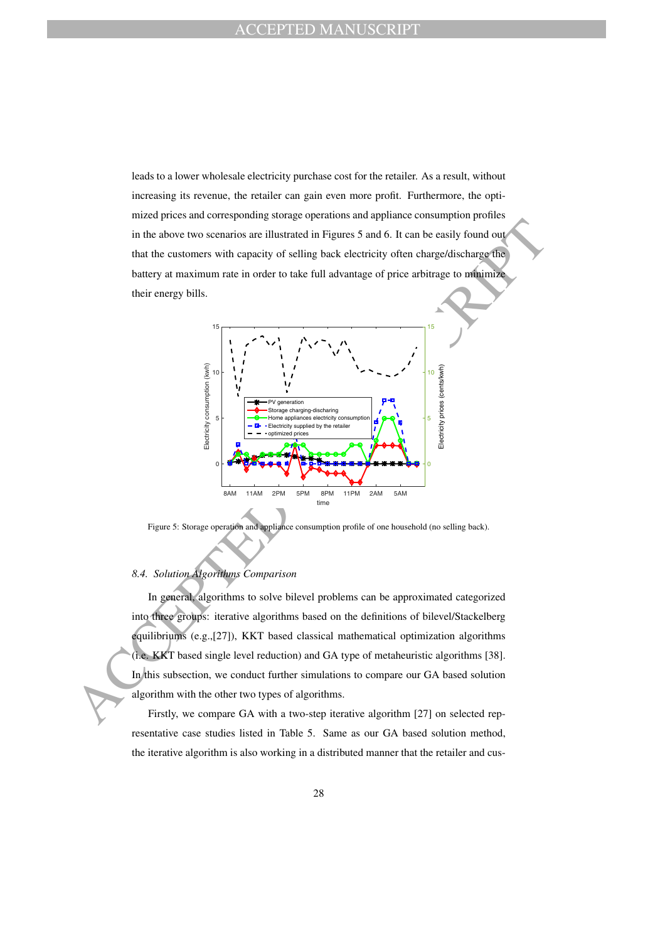leads to a lower wholesale electricity purchase cost for the retailer. As a result, without increasing its revenue, the retailer can gain even more profit. Furthermore, the optimized prices and corresponding storage operations and appliance consumption profiles in the above two scenarios are illustrated in Figures 5 and 6. It can be easily found out that the customers with capacity of selling back electricity often charge/discharge the battery at maximum rate in order to take full advantage of price arbitrage to minimize their energy bills.



Figure 5: Storage operation and appliance consumption profile of one household (no selling back).

#### *8.4. Solution Algorithms Comparison*

In general, algorithms to solve bilevel problems can be approximated categorized into three groups: iterative algorithms based on the definitions of bilevel/Stackelberg equilibriums (e.g.,[27]), KKT based classical mathematical optimization algorithms (i.e. KKT based single level reduction) and GA type of metaheuristic algorithms [38]. In this subsection, we conduct further simulations to compare our GA based solution algorithm with the other two types of algorithms.

Firstly, we compare GA with a two-step iterative algorithm [27] on selected representative case studies listed in Table 5. Same as our GA based solution method, the iterative algorithm is also working in a distributed manner that the retailer and cus-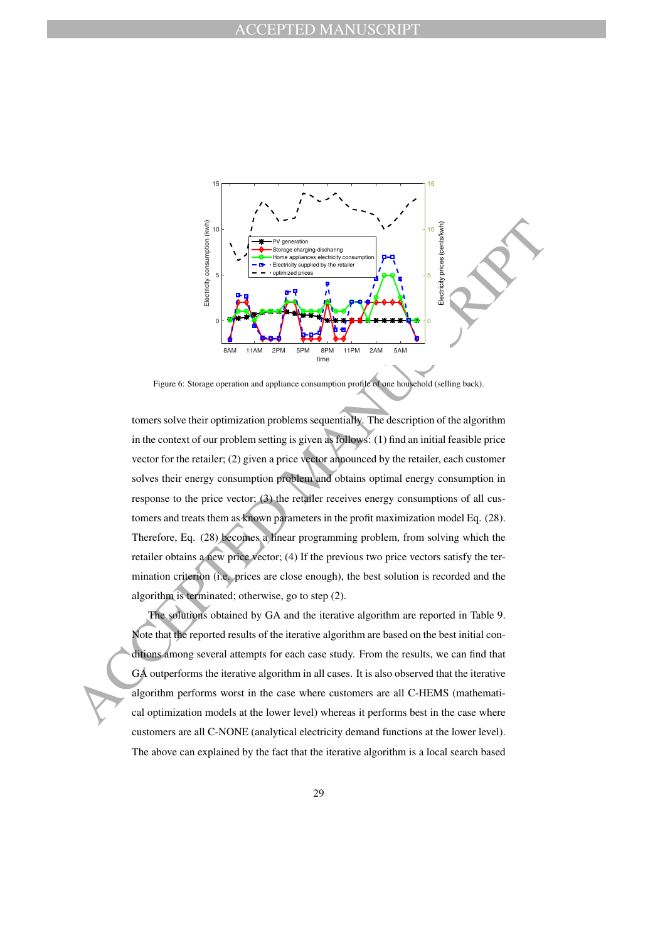

Figure 6: Storage operation and appliance consumption profile of one household (selling back).

For  $\frac{1}{2}$  and  $\frac{1}{2}$  and  $\frac{1}{2}$  and  $\frac{1}{2}$  and  $\frac{1}{2}$  and  $\frac{1}{2}$  and  $\frac{1}{2}$  and  $\frac{1}{2}$  and  $\frac{1}{2}$  and  $\frac{1}{2}$  and  $\frac{1}{2}$  and  $\frac{1}{2}$  and  $\frac{1}{2}$  and  $\frac{1}{2}$  and  $\frac{1}{2}$  and  $\frac{1}{2$ tomers solve their optimization problems sequentially. The description of the algorithm in the context of our problem setting is given as follows: (1) find an initial feasible price vector for the retailer; (2) given a price vector announced by the retailer, each customer solves their energy consumption problem and obtains optimal energy consumption in response to the price vector; (3) the retailer receives energy consumptions of all customers and treats them as known parameters in the profit maximization model Eq. (28). Therefore, Eq. (28) becomes a linear programming problem, from solving which the retailer obtains a new price vector; (4) If the previous two price vectors satisfy the termination criterion (i.e. prices are close enough), the best solution is recorded and the algorithm is terminated; otherwise, go to step (2).

The solutions obtained by GA and the iterative algorithm are reported in Table 9. Note that the reported results of the iterative algorithm are based on the best initial conditions among several attempts for each case study. From the results, we can find that GA outperforms the iterative algorithm in all cases. It is also observed that the iterative algorithm performs worst in the case where customers are all C-HEMS (mathematical optimization models at the lower level) whereas it performs best in the case where customers are all C-NONE (analytical electricity demand functions at the lower level). The above can explained by the fact that the iterative algorithm is a local search based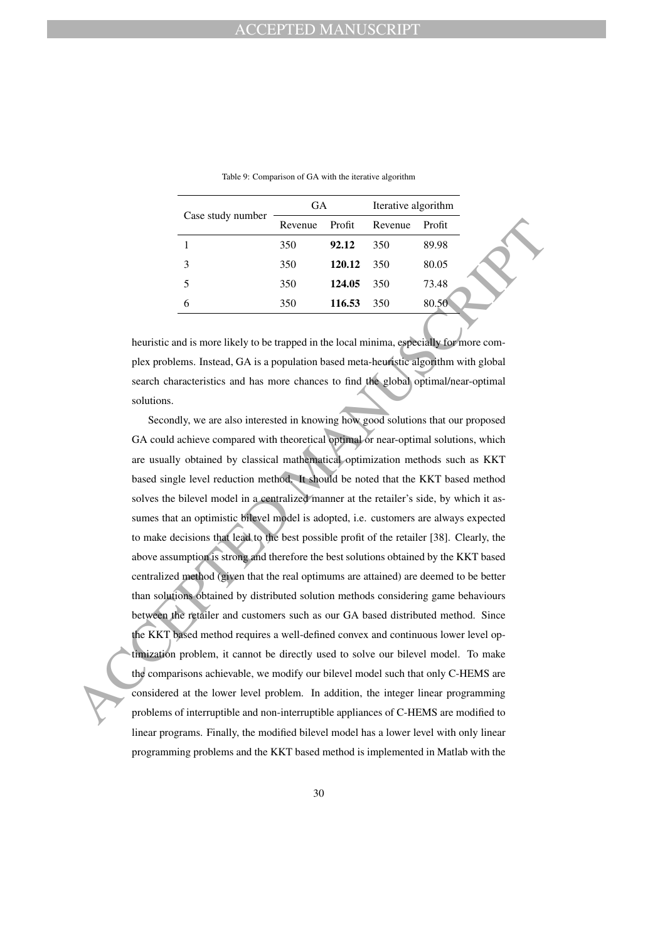|                   | GA      |        | Iterative algorithm |        |
|-------------------|---------|--------|---------------------|--------|
| Case study number | Revenue | Profit | Revenue             | Profit |
|                   | 350     | 92.12  | 350                 | 89.98  |
| 3                 | 350     | 120.12 | 350                 | 80.05  |
| 5                 | 350     | 124.05 | 350                 | 73.48  |
| 6                 | 350     | 116.53 | 350                 | 80.50  |
|                   |         |        |                     |        |

Table 9: Comparison of GA with the iterative algorithm

heuristic and is more likely to be trapped in the local minima, especially for more complex problems. Instead, GA is a population based meta-heuristic algorithm with global search characteristics and has more chances to find the global optimal/near-optimal solutions.

Eventue Profit Revenue Profit Revenue Profit Revenue Profit<br>
1 350 1212 350 89.98<br>
2 120.12 350 89.98<br>
5 350 1214.05 350 89.98<br>
6 350 1214.05 360 89.98<br>
6 350 1214.05 360 89.98<br>
heuristic and is more listely to be trapped Secondly, we are also interested in knowing how good solutions that our proposed GA could achieve compared with theoretical optimal or near-optimal solutions, which are usually obtained by classical mathematical optimization methods such as KKT based single level reduction method. It should be noted that the KKT based method solves the bilevel model in a centralized manner at the retailer's side, by which it assumes that an optimistic bilevel model is adopted, i.e. customers are always expected to make decisions that lead to the best possible profit of the retailer [38]. Clearly, the above assumption is strong and therefore the best solutions obtained by the KKT based centralized method (given that the real optimums are attained) are deemed to be better than solutions obtained by distributed solution methods considering game behaviours between the retailer and customers such as our GA based distributed method. Since the KKT based method requires a well-defined convex and continuous lower level optimization problem, it cannot be directly used to solve our bilevel model. To make the comparisons achievable, we modify our bilevel model such that only C-HEMS are considered at the lower level problem. In addition, the integer linear programming problems of interruptible and non-interruptible appliances of C-HEMS are modified to linear programs. Finally, the modified bilevel model has a lower level with only linear programming problems and the KKT based method is implemented in Matlab with the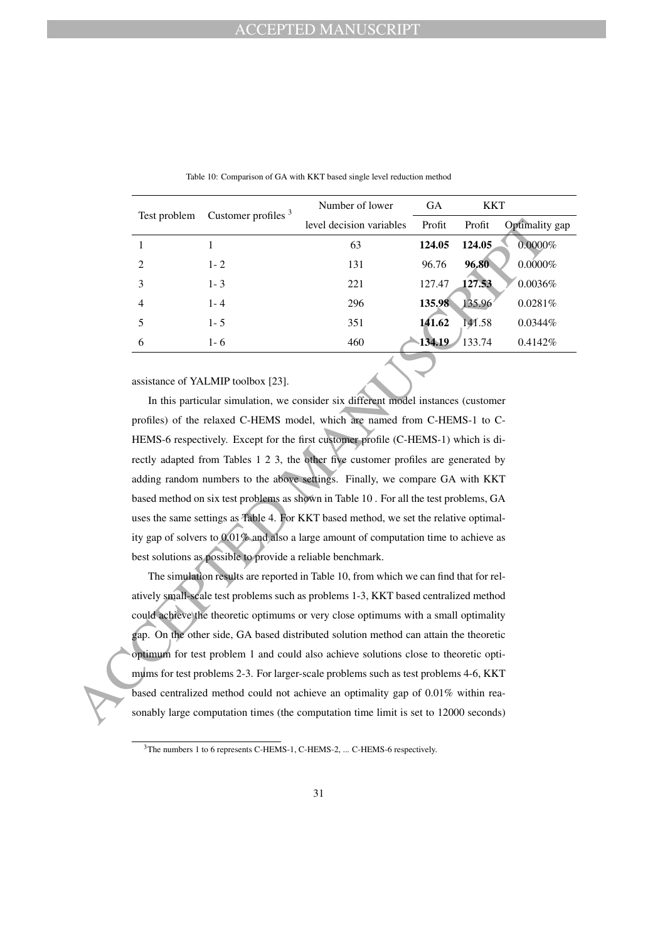| Test problem                | Customer profiles $3$ | Number of lower          | <b>GA</b> | <b>KKT</b> |                |
|-----------------------------|-----------------------|--------------------------|-----------|------------|----------------|
|                             |                       | level decision variables | Profit    | Profit     | Optimality gap |
|                             |                       | 63                       | 124.05    | 124.05     | 0.0000%        |
| $\mathcal{D}_{\mathcal{L}}$ | $1 - 2$               | 131                      | 96.76     | 96.80      | $0.0000\%$     |
| 3                           | $1 - 3$               | 221                      | 127.47    | 127.53     | 0.0036%        |
| $\overline{4}$              | $1 - 4$               | 296                      | 135.98    | 135.96     | 0.0281%        |
| 5                           | $1 - 5$               | 351                      | 141.62    | 141.58     | $0.0344\%$     |
| 6                           | $1 - 6$               | 460                      | 134.19    | 133.74     | 0.4142\%       |

Table 10: Comparison of GA with KKT based single level reduction method

assistance of YALMIP toolbox [23].

Level decision variables Profit Optimalis<br>
11 16 1448 12448 12468 12468 12468 12468 12468 12468 12468 12468 12468 12468 12468 12468 12468 12468 12468 12468 12468 12468 12468 12468 12468 12468 12468 12468 12468 12468 12468 In this particular simulation, we consider six different model instances (customer profiles) of the relaxed C-HEMS model, which are named from C-HEMS-1 to C-HEMS-6 respectively. Except for the first customer profile (C-HEMS-1) which is directly adapted from Tables 1 2 3, the other five customer profiles are generated by adding random numbers to the above settings. Finally, we compare GA with KKT based method on six test problems as shown in Table 10 . For all the test problems, GA uses the same settings as Table 4. For KKT based method, we set the relative optimality gap of solvers to 0.01% and also a large amount of computation time to achieve as best solutions as possible to provide a reliable benchmark.

The simulation results are reported in Table 10, from which we can find that for relatively small-scale test problems such as problems 1-3, KKT based centralized method could achieve the theoretic optimums or very close optimums with a small optimality gap. On the other side, GA based distributed solution method can attain the theoretic optimum for test problem 1 and could also achieve solutions close to theoretic optimums for test problems 2-3. For larger-scale problems such as test problems 4-6, KKT based centralized method could not achieve an optimality gap of 0.01% within reasonably large computation times (the computation time limit is set to 12000 seconds)

<sup>&</sup>lt;sup>3</sup>The numbers 1 to 6 represents C-HEMS-1, C-HEMS-2, ... C-HEMS-6 respectively.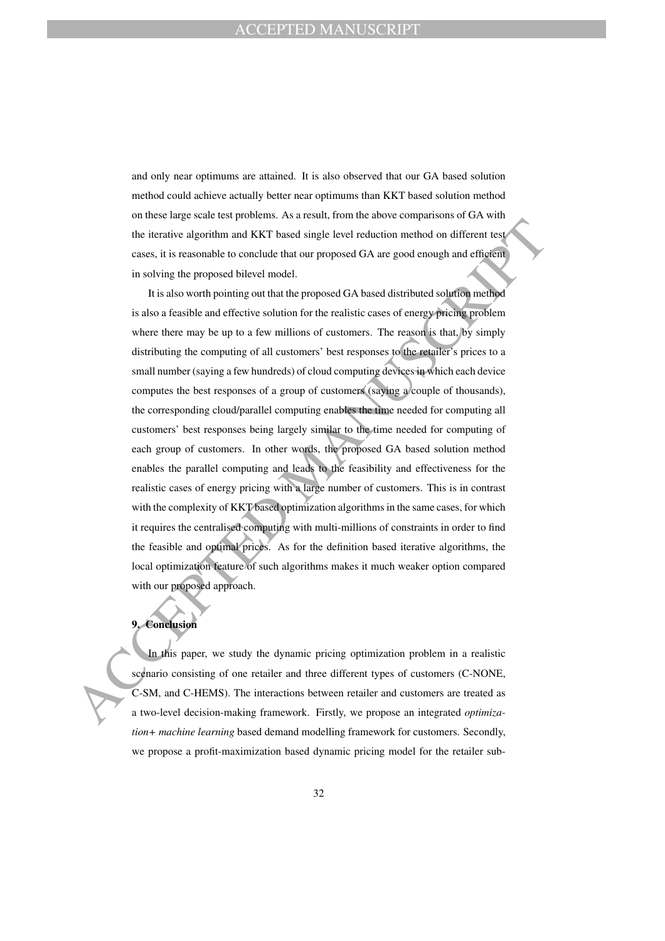and only near optimums are attained. It is also observed that our GA based solution method could achieve actually better near optimums than KKT based solution method on these large scale test problems. As a result, from the above comparisons of GA with the iterative algorithm and KKT based single level reduction method on different test cases, it is reasonable to conclude that our proposed GA are good enough and efficient in solving the proposed bilevel model.

the iterative algorithm and KKT based single level reduction method on different test<br>cases, it is reasonable to conclude that our proposed GA are good enough and efficient<br>in solving the proposed bita control one.<br>It is a It is also worth pointing out that the proposed GA based distributed solution method is also a feasible and effective solution for the realistic cases of energy pricing problem where there may be up to a few millions of customers. The reason is that, by simply distributing the computing of all customers' best responses to the retailer's prices to a small number (saying a few hundreds) of cloud computing devices in which each device computes the best responses of a group of customers (saying a couple of thousands), the corresponding cloud/parallel computing enables the time needed for computing all customers' best responses being largely similar to the time needed for computing of each group of customers. In other words, the proposed GA based solution method enables the parallel computing and leads to the feasibility and effectiveness for the realistic cases of energy pricing with a large number of customers. This is in contrast with the complexity of KKT based optimization algorithms in the same cases, for which it requires the centralised computing with multi-millions of constraints in order to find the feasible and optimal prices. As for the definition based iterative algorithms, the local optimization feature of such algorithms makes it much weaker option compared with our proposed approach.

# **9. Conclusion**

In this paper, we study the dynamic pricing optimization problem in a realistic scenario consisting of one retailer and three different types of customers (C-NONE, C-SM, and C-HEMS). The interactions between retailer and customers are treated as a two-level decision-making framework. Firstly, we propose an integrated *optimization+ machine learning* based demand modelling framework for customers. Secondly, we propose a profit-maximization based dynamic pricing model for the retailer sub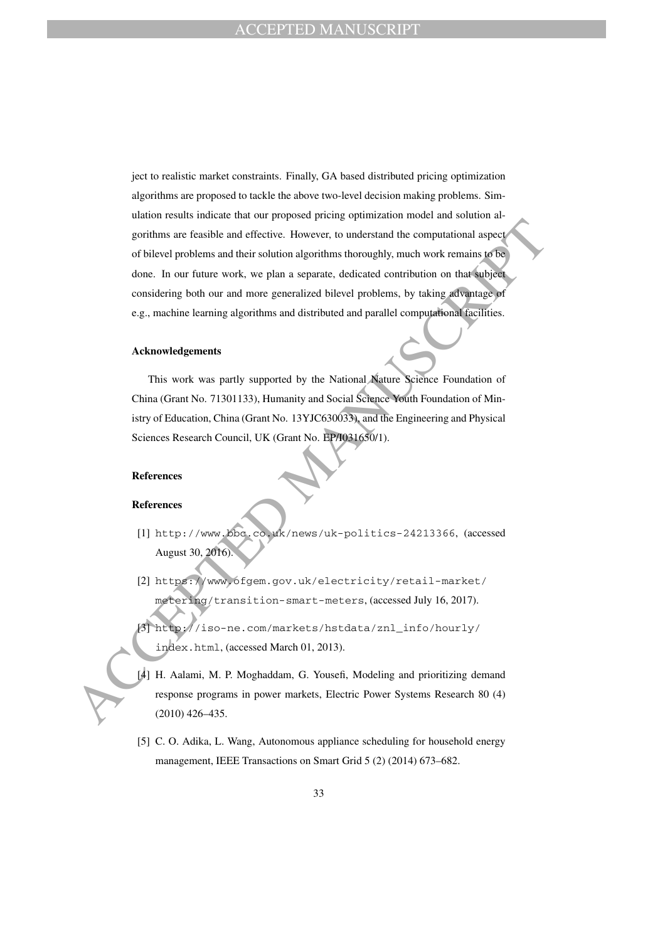gorithms are feasible and effective. However, to understand the computational aspect<br>of bibevel problems and their solution algorithms thoroughly, much work remains to<br>Solution and their solution algorithms throughly, muc ject to realistic market constraints. Finally, GA based distributed pricing optimization algorithms are proposed to tackle the above two-level decision making problems. Simulation results indicate that our proposed pricing optimization model and solution algorithms are feasible and effective. However, to understand the computational aspect of bilevel problems and their solution algorithms thoroughly, much work remains to be done. In our future work, we plan a separate, dedicated contribution on that subject considering both our and more generalized bilevel problems, by taking advantage of e.g., machine learning algorithms and distributed and parallel computational facilities.

#### **Acknowledgements**

This work was partly supported by the National Nature Science Foundation of China (Grant No. 71301133), Humanity and Social Science Youth Foundation of Ministry of Education, China (Grant No. 13YJC630033), and the Engineering and Physical Sciences Research Council, UK (Grant No. EP/I031650/1).

### **References**

#### **References**

- [1] http://www.bbc.co.uk/news/uk-politics-24213366, (accessed August 30, 2016).
- [2] https://www.ofgem.gov.uk/electricity/retail-market/ metering/transition-smart-meters, (accessed July 16, 2017).
- [3] http://iso-ne.com/markets/hstdata/znl\_info/hourly/ index.html, (accessed March 01, 2013).
- [4] H. Aalami, M. P. Moghaddam, G. Yousefi, Modeling and prioritizing demand response programs in power markets, Electric Power Systems Research 80 (4) (2010) 426–435.
- [5] C. O. Adika, L. Wang, Autonomous appliance scheduling for household energy management, IEEE Transactions on Smart Grid 5 (2) (2014) 673–682.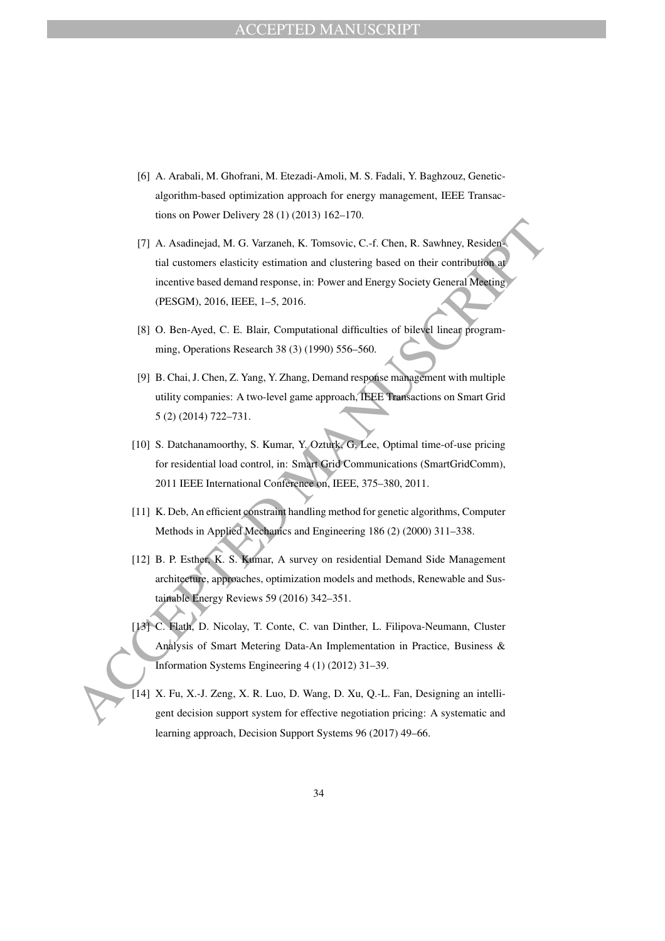- [6] A. Arabali, M. Ghofrani, M. Etezadi-Amoli, M. S. Fadali, Y. Baghzouz, Geneticalgorithm-based optimization approach for energy management, IEEE Transactions on Power Delivery 28 (1) (2013) 162–170.
- (7) A. Assalingiad, M. G. Varianteli, K. Tomsovic, C.-f. Chen, R. Sawhney, Residential customers elasticity estimation and clustering based on their contribution and the street in the contribution of the metric based dema [7] A. Asadinejad, M. G. Varzaneh, K. Tomsovic, C.-f. Chen, R. Sawhney, Residential customers elasticity estimation and clustering based on their contribution at incentive based demand response, in: Power and Energy Society General Meeting (PESGM), 2016, IEEE, 1–5, 2016.
	- [8] O. Ben-Ayed, C. E. Blair, Computational difficulties of bilevel linear programming, Operations Research 38 (3) (1990) 556–560.
	- [9] B. Chai, J. Chen, Z. Yang, Y. Zhang, Demand response management with multiple utility companies: A two-level game approach, IEEE Transactions on Smart Grid 5 (2) (2014) 722–731.
	- [10] S. Datchanamoorthy, S. Kumar, Y. Ozturk, G. Lee, Optimal time-of-use pricing for residential load control, in: Smart Grid Communications (SmartGridComm), 2011 IEEE International Conference on, IEEE, 375–380, 2011.
	- [11] K. Deb, An efficient constraint handling method for genetic algorithms, Computer Methods in Applied Mechanics and Engineering 186 (2) (2000) 311–338.
	- [12] B. P. Esther, K. S. Kumar, A survey on residential Demand Side Management architecture, approaches, optimization models and methods, Renewable and Sustainable Energy Reviews 59 (2016) 342–351.
	- [13] C. Flath, D. Nicolay, T. Conte, C. van Dinther, L. Filipova-Neumann, Cluster Analysis of Smart Metering Data-An Implementation in Practice, Business & Information Systems Engineering 4 (1) (2012) 31–39.
	- [14] X. Fu, X.-J. Zeng, X. R. Luo, D. Wang, D. Xu, Q.-L. Fan, Designing an intelligent decision support system for effective negotiation pricing: A systematic and learning approach, Decision Support Systems 96 (2017) 49–66.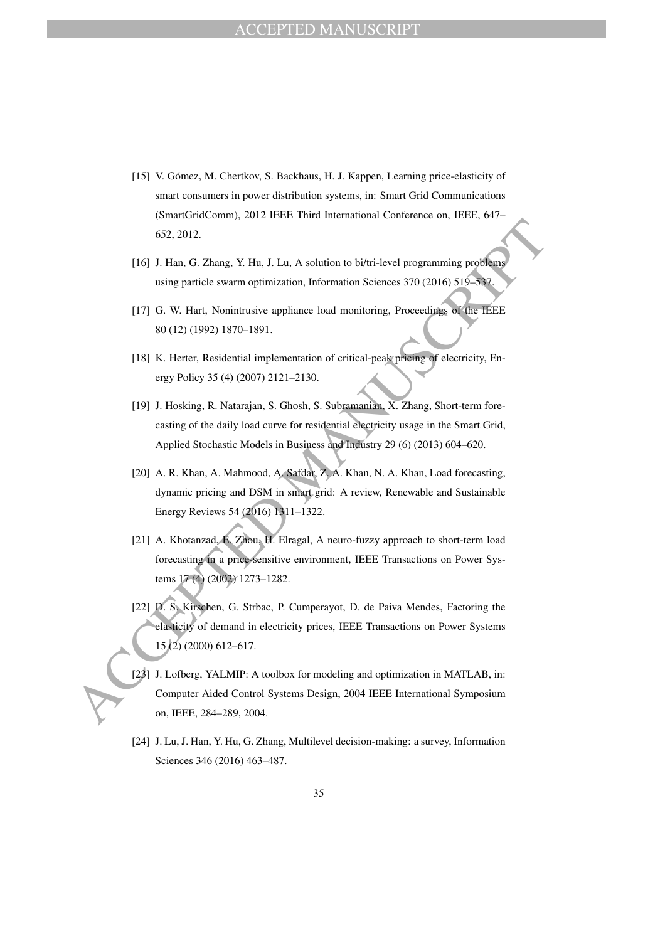- [15] V. Gómez, M. Chertkov, S. Backhaus, H. J. Kappen, Learning price-elasticity of smart consumers in power distribution systems, in: Smart Grid Communications (SmartGridComm), 2012 IEEE Third International Conference on, IEEE, 647– 652, 2012.
- [16] J. Han, G. Zhang, Y. Hu, J. Lu, A solution to bi/tri-level programming problems using particle swarm optimization, Information Sciences 370 (2016) 519–537.
- [17] G. W. Hart, Nonintrusive appliance load monitoring, Proceedings of the IEEE 80 (12) (1992) 1870–1891.
- [18] K. Herter, Residential implementation of critical-peak pricing of electricity, Energy Policy 35 (4) (2007) 2121–2130.
- [19] J. Hosking, R. Natarajan, S. Ghosh, S. Subramanian, X. Zhang, Short-term forecasting of the daily load curve for residential electricity usage in the Smart Grid, Applied Stochastic Models in Business and Industry 29 (6) (2013) 604–620.
- [20] A. R. Khan, A. Mahmood, A. Safdar, Z. A. Khan, N. A. Khan, Load forecasting, dynamic pricing and DSM in smart grid: A review, Renewable and Sustainable Energy Reviews 54 (2016) 1311–1322.
- [21] A. Khotanzad, E. Zhou, H. Elragal, A neuro-fuzzy approach to short-term load forecasting in a price-sensitive environment, IEEE Transactions on Power Systems 17 (4) (2002) 1273–1282.
- 652, 2012.<br>
(16) J. Han, G. Zhang, Y. Hu, J. Lu, A solution to bi/tri-level programming problems<br>
using particle swarm optimization, information Sciences 370 (2016) 519-832.<br>
(17) G. W. Hart, Nonintrustve appliance load m [22] D. S. Kirschen, G. Strbac, P. Cumperayot, D. de Paiva Mendes, Factoring the elasticity of demand in electricity prices, IEEE Transactions on Power Systems 15 (2) (2000) 612–617.
	- [23] J. Lofberg, YALMIP: A toolbox for modeling and optimization in MATLAB, in: Computer Aided Control Systems Design, 2004 IEEE International Symposium on, IEEE, 284–289, 2004.
	- [24] J. Lu, J. Han, Y. Hu, G. Zhang, Multilevel decision-making: a survey, Information Sciences 346 (2016) 463–487.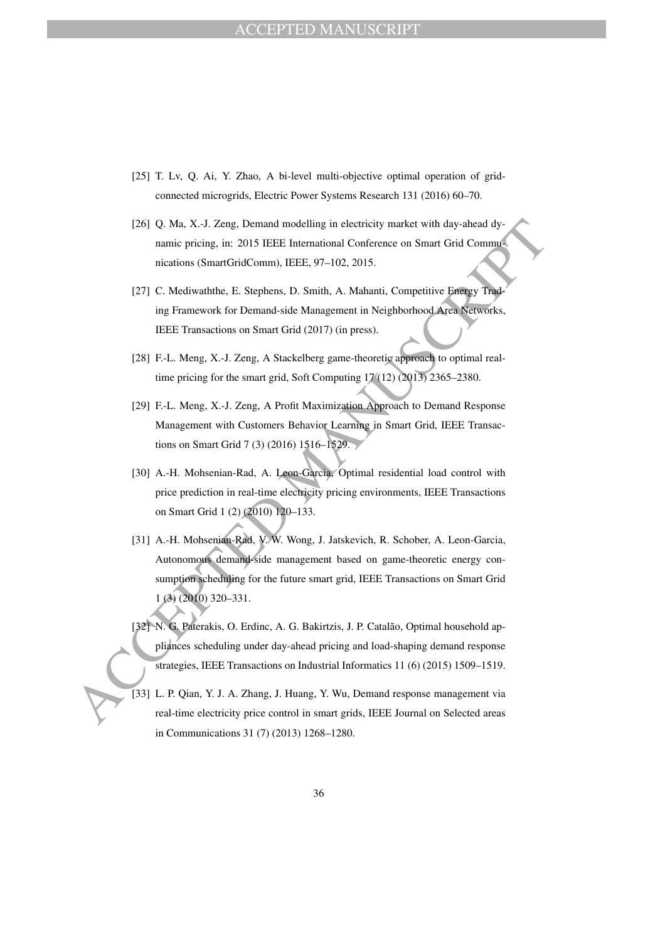- [25] T. Lv, Q. Ai, Y. Zhao, A bi-level multi-objective optimal operation of gridconnected microgrids, Electric Power Systems Research 131 (2016) 60–70.
- [26] Q. Ma, X.-J. Zeng, Demand modelling in electricity market with day-ahead dynamic pricing, in: 2015 IEEE International Conference on Smart Grid Communications (SmartGridComm), IEEE, 97–102, 2015.
- [27] C. Mediwaththe, E. Stephens, D. Smith, A. Mahanti, Competitive Energy Trading Framework for Demand-side Management in Neighborhood Area Networks, IEEE Transactions on Smart Grid (2017) (in press).
- [28] F.-L. Meng, X.-J. Zeng, A Stackelberg game-theoretic approach to optimal realtime pricing for the smart grid, Soft Computing 17 (12) (2013) 2365–2380.
- [29] F.-L. Meng, X.-J. Zeng, A Profit Maximization Approach to Demand Response Management with Customers Behavior Learning in Smart Grid, IEEE Transactions on Smart Grid 7 (3) (2016) 1516–1529.
- [30] A.-H. Mohsenian-Rad, A. Leon-Garcia, Optimal residential load control with price prediction in real-time electricity pricing environments, IEEE Transactions on Smart Grid 1 (2) (2010) 120–133.
- 1261 Q. Ma, X.-1. Zeng, Demand modelling in electricity market with day-ahead dy-<br>nications (SmartGridComm). IEEE. Branzional Conference on Smart Grid Communications (SmartGridComm). IEEE. 97-102. 2015.<br>
127] C. Mediwatht [31] A.-H. Mohsenian-Rad, V. W. Wong, J. Jatskevich, R. Schober, A. Leon-Garcia, Autonomous demand-side management based on game-theoretic energy consumption scheduling for the future smart grid, IEEE Transactions on Smart Grid 1 (3) (2010) 320–331.
	- [32] N. G. Paterakis, O. Erdinc, A. G. Bakirtzis, J. P. Catalão, Optimal household appliances scheduling under day-ahead pricing and load-shaping demand response strategies, IEEE Transactions on Industrial Informatics 11 (6) (2015) 1509–1519.
	- [33] L. P. Qian, Y. J. A. Zhang, J. Huang, Y. Wu, Demand response management via real-time electricity price control in smart grids, IEEE Journal on Selected areas in Communications 31 (7) (2013) 1268–1280.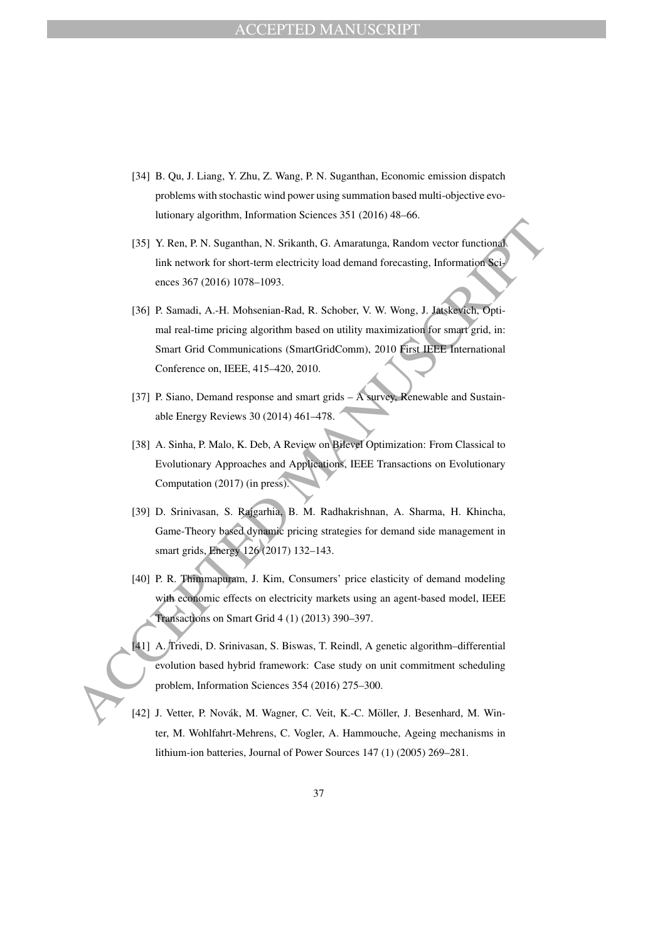- [34] B. Qu, J. Liang, Y. Zhu, Z. Wang, P. N. Suganthan, Economic emission dispatch problems with stochastic wind power using summation based multi-objective evolutionary algorithm, Information Sciences 351 (2016) 48–66.
- [35] Y. Ren, P. N. Suganthan, N. Srikanth, G. Amaratunga, Random vector functional link network for short-term electricity load demand forecasting, Information Sciences 367 (2016) 1078–1093.
- (35) Y. Ren, P. N. Sugamban, N. Srikanth, G. Amaratunga, Random vector functional<br>
ink network for short-term electricity load demand forecasting. Information Saiz<br>
inc. network for short-term electricity load demand fore [36] P. Samadi, A.-H. Mohsenian-Rad, R. Schober, V. W. Wong, J. Jatskevich, Optimal real-time pricing algorithm based on utility maximization for smart grid, in: Smart Grid Communications (SmartGridComm), 2010 First IEEE International Conference on, IEEE, 415–420, 2010.
	- [37] P. Siano, Demand response and smart grids A survey, Renewable and Sustainable Energy Reviews 30 (2014) 461–478.
	- [38] A. Sinha, P. Malo, K. Deb, A Review on Bilevel Optimization: From Classical to Evolutionary Approaches and Applications, IEEE Transactions on Evolutionary Computation (2017) (in press).
	- [39] D. Srinivasan, S. Rajgarhia, B. M. Radhakrishnan, A. Sharma, H. Khincha, Game-Theory based dynamic pricing strategies for demand side management in smart grids, Energy 126 (2017) 132–143.
	- [40] P. R. Thimmapuram, J. Kim, Consumers' price elasticity of demand modeling with economic effects on electricity markets using an agent-based model, IEEE Transactions on Smart Grid 4 (1) (2013) 390–397.
	- [41] A. Trivedi, D. Srinivasan, S. Biswas, T. Reindl, A genetic algorithm-differential evolution based hybrid framework: Case study on unit commitment scheduling problem, Information Sciences 354 (2016) 275–300.
	- [42] J. Vetter, P. Novák, M. Wagner, C. Veit, K.-C. Möller, J. Besenhard, M. Winter, M. Wohlfahrt-Mehrens, C. Vogler, A. Hammouche, Ageing mechanisms in lithium-ion batteries, Journal of Power Sources 147 (1) (2005) 269–281.